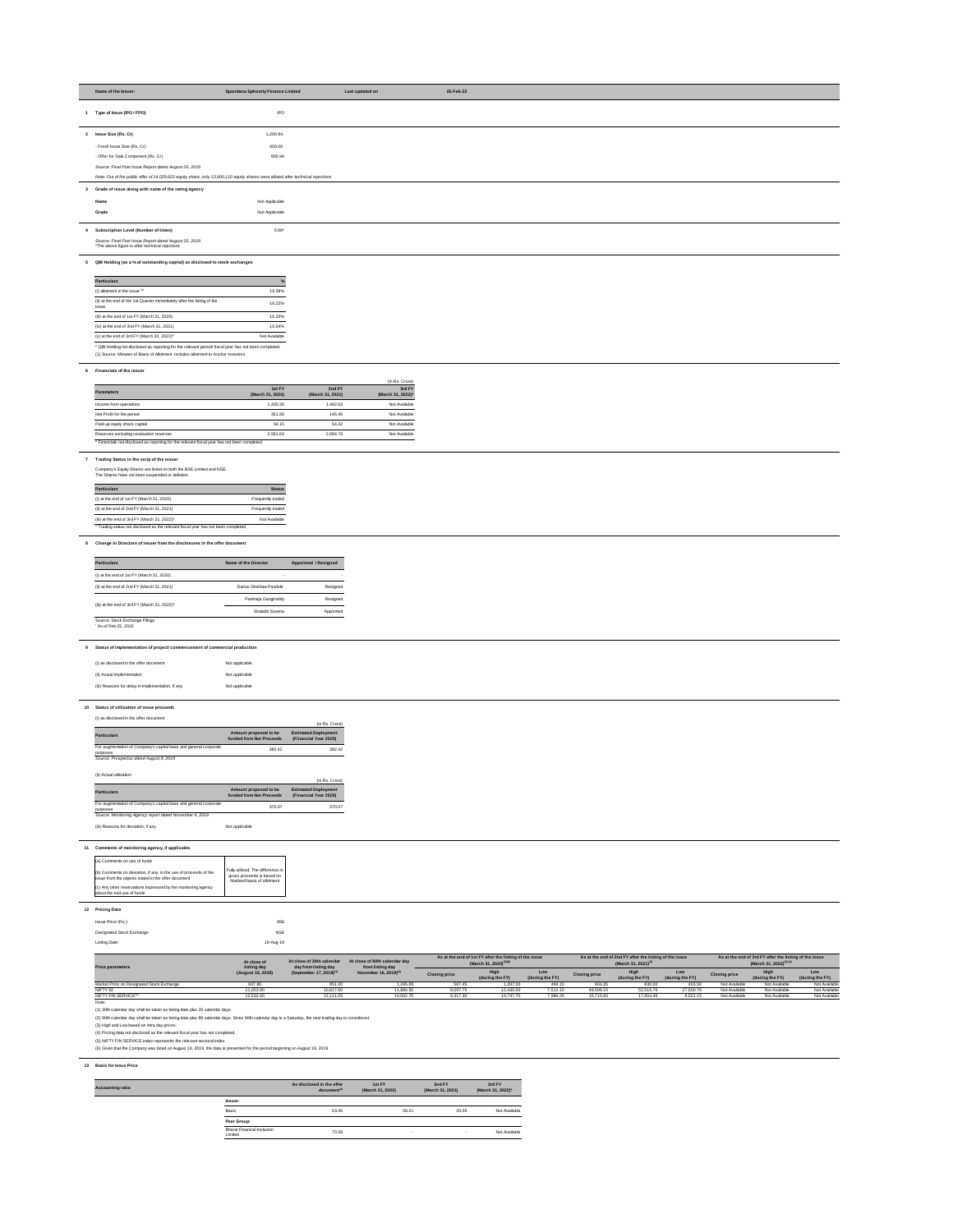| Name of the Issuer:                                                                                                             | <b>Spandana Sphoorty Finance Limited</b> | Last updated on | 25-Feb-22 |  |  |
|---------------------------------------------------------------------------------------------------------------------------------|------------------------------------------|-----------------|-----------|--|--|
| Type of Issue (IPO / FPO)                                                                                                       | <b>IPO</b>                               |                 |           |  |  |
| 2 Issue Size (Rs. Cr)                                                                                                           | 1,200.94                                 |                 |           |  |  |
| - Fresh Issue Size (Rs. Cr)                                                                                                     | 400.00                                   |                 |           |  |  |
| - Offer for Sale Component (Rs. Cr)                                                                                             | 800.94                                   |                 |           |  |  |
| Source: Final Post Issue Report dated August 20, 2019                                                                           |                                          |                 |           |  |  |
| Note: Out of the public offer of 14,029,622 equity share, only 13,900,110 equity shares were alloted after technical rejections |                                          |                 |           |  |  |
| 3 Grade of issue along with name of the rating agency                                                                           |                                          |                 |           |  |  |
| Name                                                                                                                            | Not Applicable                           |                 |           |  |  |
| Grade                                                                                                                           | Not Applicable                           |                 |           |  |  |
| 4 Subscription Level (Number of times)                                                                                          | $0.99*$                                  |                 |           |  |  |
| Source: Final Post Issue Report dated August 20, 2019<br>*The above figure is after technical rejections                        |                                          |                 |           |  |  |
| 5 QIB Holding (as a % of outstanding capital) as disclosed to stock exchanges                                                   |                                          |                 |           |  |  |
| <b>Particulars</b>                                                                                                              |                                          |                 |           |  |  |
| (i) allotment in the issue $(1)$                                                                                                | 19.38%                                   |                 |           |  |  |
| (ii) at the end of the 1st Quarter immediately after the listing of the<br>issue                                                | 16.22%                                   |                 |           |  |  |
| (iii) at the end of 1st FY (March 31, 2020)                                                                                     | 16.33%                                   |                 |           |  |  |
| (iv) at the end of 2nd FY (March 31, 2021)                                                                                      | 15.54%                                   |                 |           |  |  |

(v) at the end of 3rd FY (March 31, 2022)\*  $N$  Not Available

\* QIB Holding not disclosed as reporting for the relevant period/ fiscal year has not been completed.

(1) Source: Minutes of Basis of Allotment. Includes allotment to Anchor Investors.

## **6 Financials of the issuer**

|                                                                                              |                            |                            | (In Rs. Crore)              |
|----------------------------------------------------------------------------------------------|----------------------------|----------------------------|-----------------------------|
| <b>Parameters</b>                                                                            | 1st FY<br>(March 31, 2020) | 2nd FY<br>(March 31, 2021) | 3rd FY<br>(March 31, 2022)* |
| Income from operations                                                                       | 1,435.30                   | 1.482.63                   | Not Available               |
| Net Profit for the period                                                                    | 351.83                     | 145.46                     | Not Available               |
| Paid-up equity share capital                                                                 | 64.15                      | 64.32                      | Not Available               |
| Reserves excluding revaluation reserves                                                      | 2.561.64                   | 2.684.76                   | Not Available               |
| * Financials not disclosed as reporting for the relevant fiscal year has not been completed. |                            |                            |                             |

**7 Trading Status in the scrip of the issuer**

Company's Equity Shares are listed on both the BSE Limited and NSE. The Shares have not been suspended or delisted.



| <b>Particulars</b>                                                                 | <b>Status</b>     |
|------------------------------------------------------------------------------------|-------------------|
| (i) at the end of 1st $FY$ (March 31, 2020)                                        | Frequently traded |
| (ii) at the end of 2nd FY (March 31, 2021)                                         | Frequently traded |
| (iii) at the end of 3rd FY (March 31, 2022) $*$                                    | Not Available     |
| * Trading status not disclosed as the relevant fiscal year has not been completed. |                   |

## **8 Change in Directors of issuer from the disclosures in the offer document**

**9 Status of implementation of project/ commencement of commercial production** 

| (i) as disclosed in the offer document            | Not applicable |
|---------------------------------------------------|----------------|
| (ii) Actual implementation                        | Not applicable |
| (iii) Reasons for delay in implementation, if any | Not applicable |

## **10 Status of utilization of issue proceeds**

## (i) as disclosed in the offer document

| $\sim$                                                                       |                                                   | (In Rs. Crore)                                       |
|------------------------------------------------------------------------------|---------------------------------------------------|------------------------------------------------------|
| <b>Particulars</b>                                                           | Amount proposed to be<br>funded from Net Proceeds | <b>Estimated Deployment</b><br>(Financial Year 2020) |
| For augmentation of Company's capital base and general corporate<br>purposes | 382.42                                            | 382.42                                               |
| Source: Prospectus dated August 8, 2019                                      |                                                   |                                                      |

### (ii) Actual utilization

| (ii) Actual utilization                                                      |                                                   | (In Rs. Crore)                                       |
|------------------------------------------------------------------------------|---------------------------------------------------|------------------------------------------------------|
| <b>Particulars</b>                                                           | Amount proposed to be<br>funded from Net Proceeds | <b>Estimated Deployment</b><br>(Financial Year 2020) |
| For augmentation of Company's capital base and general corporate<br>purposes | 370.07                                            | 370.07                                               |
| Source: Monitoring Agency report dated November 4, 2019                      |                                                   |                                                      |
| (iii) Reasons for deviation, if any                                          | Not applicable                                    |                                                      |

# **11 Comments of monitoring agency, if applicable**

# **12 Pricing Data**

| Issue Price (Rs.):         | 856        |  |
|----------------------------|------------|--|
| Designated Stock Exchange: | <b>NSE</b> |  |
| Listing Date:              | 19-Aug-19  |  |

| <b>Particulars</b>                                   | Name of the Director   | Appointed / Resigned |
|------------------------------------------------------|------------------------|----------------------|
| (i) at the end of 1st $FY$ (March 31, 2020)          |                        |                      |
| (ii) at the end of 2nd FY (March 31, 2021)           | Darius Dinshaw Pandole | Resigned             |
|                                                      | Padmaja Gangireddy     | Resigned             |
| (iii) at the end of 3rd FY (March 31, 2022)*         | Shalabh Saxena         | Appointed            |
| Source: Stock Exchange Filings<br>As of Feb 25, 2022 |                        |                      |

| <b>Price parameters</b>                   | At close of<br>listing day |                                     | As at the end of 1st FY after the listing of the issue<br>At close of 90th calendar day<br>At close of 30th calendar<br>(March 31, 2020) <sup>(3)(6)</sup><br>day from listing day<br>from listing day |                      |                         | As at the end of 2nd FY after the listing of the issue<br>(March 31, 2021) <sup>(3)</sup> |                      |                         |                        | As at the end of 3rd FY after the listing of the issue<br>(March 31, 2022) <sup>(3)(4)</sup> |                         |                        |
|-------------------------------------------|----------------------------|-------------------------------------|--------------------------------------------------------------------------------------------------------------------------------------------------------------------------------------------------------|----------------------|-------------------------|-------------------------------------------------------------------------------------------|----------------------|-------------------------|------------------------|----------------------------------------------------------------------------------------------|-------------------------|------------------------|
|                                           | (August 19, 2019)          | (September 17, 2019) <sup>(1)</sup> | November 16, 2019) <sup>(2)</sup>                                                                                                                                                                      | <b>Closing price</b> | High<br>(during the FY) | Low<br>(during the FY)                                                                    | <b>Closing price</b> | High<br>(during the FY) | Low<br>(during the FY) | <b>Closing price</b>                                                                         | Hiah<br>(during the FY) | Low<br>(during the FY) |
| Market Price on Designated Stock Exchange | 847.80                     | 851.20                              | 295.85, ا                                                                                                                                                                                              | 587.45               | 1.397.00                | 484.10                                                                                    | 604.35               | 830.00                  | 403.50                 | Not Available                                                                                | Not Available           | Not Available          |
| NIFTY 50                                  | 11.053.90                  | 0,817.60                            | 11.884.50                                                                                                                                                                                              | 8,597.75             | 12,430.50               | 7.511.10                                                                                  | 49,509.15            | 52,516.76               | 27,500.79              | Not Available                                                                                | Not Available           | Not Available          |
| NIFTY FIN SERVICE <sup>(5)</sup>          | 12.532.40                  | 2.111.05                            | 14.002.70                                                                                                                                                                                              | 9,317.30             | 14.747.70               | 7,984.20                                                                                  | 15,715.60            | 17,654.45               | 8,521.15               | Not Available                                                                                | Not Available           | <b>Not Available</b>   |

Note:

| (a) Comments on use of funds                                                                                                    |                                                                                                 |
|---------------------------------------------------------------------------------------------------------------------------------|-------------------------------------------------------------------------------------------------|
| $\vert$ (b) Comments on deviation, if any, in the use of proceeds of the<br>issue from the objects stated in the offer document | Fully utilised; The difference in<br>gross proceeds is based on<br>finalised basis of allotment |
| (c) Any other reservations expressed by the monitoring agency<br>about the end use of funds                                     |                                                                                                 |

(1) 30th calendar day shall be taken as listing date plus 29 calendar days.

(2) 90th calendar day shall be taken as listing date plus 89 calendar days. Since 90th calendar day is a Saturday, the next trading day is considered.

(3) High and Low based on intra day prices.

(4) Pricing data not disclosed as the relevant fiscal year has not completed.

(5) NIFTY FIN SERVICE index represents the relevant sectoral index

(6) Given that the Company was listed on August 19, 2019, the data is presented for the period beginning on Augsut 19, 2019

# **13 Basis for Issue Price**

| <b>Accounting ratio</b>                      | As disclosed in the offer<br>document <sup>(1)</sup> | 1st FY<br>(March 31, 2020) | 2nd FY<br>(March 31, 2021)      | 3rd FY<br>(March 31, 2022)* |
|----------------------------------------------|------------------------------------------------------|----------------------------|---------------------------------|-----------------------------|
| <b>Issuer:</b>                               |                                                      |                            |                                 |                             |
| Basic                                        | 53.46                                                | 56.21                      | 20.05                           | Not Available               |
| Peer Group:                                  |                                                      |                            |                                 |                             |
| <b>Bharat Financial Inclusion</b><br>Limited | 70.39                                                |                            | $\overline{\phantom{0}}$<br>. . | Not Available               |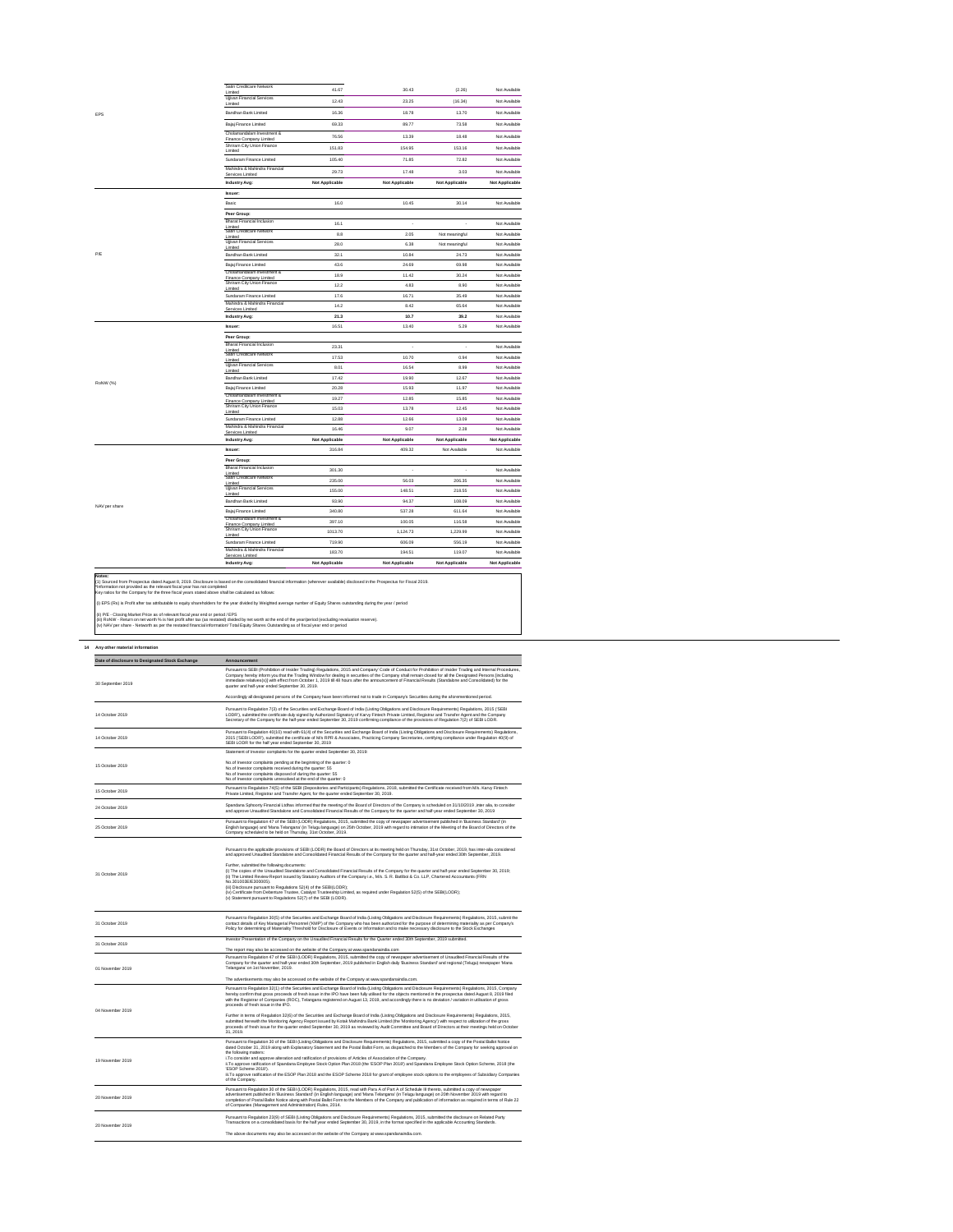Satin Creditcare Network

| Limited                                                      | 41.67                 | 30.43                 | (2.26)                | Not Available         |
|--------------------------------------------------------------|-----------------------|-----------------------|-----------------------|-----------------------|
| <b>Ujivan Financial Services</b><br>Limited                  | 12.43                 | 23.25                 | (16.34)               | Not Available         |
| Bandhan Bank Limited                                         | 16.36                 | 18.78                 | 13.70                 | Not Available         |
| Bajaj Finance Limited                                        | 69.33                 | 89.77                 | 73.58                 | Not Available         |
| Cholamandalam Investment &<br>Finance Company Limited        | 76.56                 | 13.39                 | 18.48                 | Not Available         |
| Shriram City Union Finance<br>Limited                        | 151.83                | 154.95                | 153.16                | Not Available         |
| Sundaram Finance Limited                                     | 105.40                | 71.85                 | 72.82                 | Not Available         |
| Mahindra & Mahindra Financial<br><b>Services Limited</b>     | 29.73                 | 17.48                 | 3.03                  | Not Available         |
| <b>Industry Avg:</b>                                         | <b>Not Applicable</b> | <b>Not Applicable</b> | <b>Not Applicable</b> | <b>Not Applicable</b> |
| <b>Issuer:</b>                                               |                       |                       |                       |                       |
| Basic                                                        | 16.0                  | 10.45                 | 30.14                 | Not Available         |
| Peer Group:                                                  |                       |                       |                       |                       |
| <b>Bharat Financial Inclusion</b>                            | 16.1                  |                       |                       | Not Available         |
| Limited<br>Satin Creditcare Network                          | 8.8                   | 2.05                  | Not meaningful        | Not Available         |
| Limited<br><b>Ujjivan Financial Services</b>                 | 28.0                  | 6.38                  | Not meaningful        | Not Available         |
| Limited<br>Bandhan Bank Limited                              | 32.1                  | 10.84                 | 24.73                 | Not Available         |
| <b>Bajaj Finance Limited</b>                                 | 43.6                  | 24.69                 | 69.98                 | Not Available         |
| Cholamandalam Investment &<br><b>Finance Company Limited</b> | 18.9                  | 11.42                 | 30.24                 | Not Available         |
| <b>Shriram City Union Finance</b><br>Limited                 | 12.2                  | 4.83                  | 8.90                  | Not Available         |
| Sundaram Finance Limited                                     | 17.6                  | 16.71                 | 35.49                 | Not Available         |
| Mahindra & Mahindra Financial<br><b>Services Limited</b>     | 14.2                  | 8.42                  | 65.64                 | Not Available         |
| <b>Industry Avg:</b>                                         | 21.3                  | 10.7                  | 39.2                  | Not Available         |
| <b>Issuer:</b>                                               | 16.51                 | 13.40                 | 5.29                  | Not Available         |
| Peer Group:                                                  |                       |                       |                       |                       |
| <b>Bharat Financial Inclusion</b><br>Limited                 | 23.31                 |                       |                       | Not Available         |
| Satin Creditcare Network<br>Limited                          | 17.53                 | 10.70                 | 0.94                  | Not Available         |
| <b>Ujjivan Financial Services</b><br>Limited                 | 8.01                  | 16.54                 | 8.99                  | Not Available         |
| Bandhan Bank Limited                                         | 17.42                 | 19.90                 | 12.67                 | Not Available         |
| Bajaj Finance Limited                                        | 20.28                 | 15.93                 | 11.97                 | Not Available         |
| Cholamandalam Investment &<br>Finance Company Limited        | 19.27                 | 12.85                 | 15.85                 | Not Available         |
| <b>Shriram City Union Finance</b><br>Limited                 | 15.03                 | 13.78                 | 12.45                 | Not Available         |
| Sundaram Finance Limited                                     | 12.88                 | 12.66                 | 13.09                 | Not Available         |
| Mahindra & Mahindra Financial<br>Services Limited            | 16.46                 | 9.07                  | 2.28                  | Not Available         |
| <b>Industry Avg:</b>                                         | <b>Not Applicable</b> | <b>Not Applicable</b> | <b>Not Applicable</b> | <b>Not Applicable</b> |
| <b>Issuer:</b>                                               | 316.84                | 409.32                | Not Available         | Not Available         |
| Peer Group:                                                  |                       |                       |                       |                       |
| <b>Bharat Financial Inclusion</b><br>Limited                 | 301.30                |                       |                       | Not Available         |
| Satin Creditcare Network                                     | 235.00                | 56.03                 | 206.35                | Not Available         |
| Limited<br><b>Ujjivan Financial Services</b>                 | 155.00                | 148.51                | 218.55                | Not Available         |
| Limited<br>Bandhan Bank Limited                              | 93.90                 | 94.37                 | 108.09                | Not Available         |
| Bajaj Finance Limited                                        | 340.80                | 537.28                | 611.64                | Not Available         |
| Cholamandalam Investment &<br>Finance Company Limited        | 397.10                | 100.05                | 116.58                | Not Available         |
| <b>Shriram City Union Finance</b><br>Limited                 | 1013.70               | 1,124.73              | 1,229.99              | Not Available         |
| Sundaram Finance Limited                                     | 719.90                | 606.09                | 556.19                | Not Available         |
| Mahindra & Mahindra Financial<br><b>Services Limited</b>     | 183.70                | 194.51                | 119.07                | Not Available         |
| <b>Industry Avg:</b>                                         | <b>Not Applicable</b> | <b>Not Applicable</b> | <b>Not Applicable</b> | <b>Not Applicable</b> |

#### **Notes:**

# **14 Any other material information**

| Date of disclosure to Designated Stock Exchange | Announcement                                                                                                                                                                                                                                                                                                                                                                                                                                                                                                                                                                   |
|-------------------------------------------------|--------------------------------------------------------------------------------------------------------------------------------------------------------------------------------------------------------------------------------------------------------------------------------------------------------------------------------------------------------------------------------------------------------------------------------------------------------------------------------------------------------------------------------------------------------------------------------|
| 30 September 2019                               | Pursuant to SEBI (Prohibition of Insider Trading) Regulations, 2015 and Company' Code of Conduct for Prohibition of Insider Trading and Internal Procedures,<br>Company hereby inform you that the Trading Window for dealing in securities of the Company shall remain closed for all the Designated Persons [including<br>immediate relatives(s)] with effect from October 1, 2019 till 48 hours after the announcement of Financial Results (Standalone and Consolidated) for the<br>quarter and half-year ended September 30, 2019.                                        |
|                                                 | Accordingly all designated persons of the Company have been informed not to trade in Company's Securities during the aforementioned period.                                                                                                                                                                                                                                                                                                                                                                                                                                    |
| 14 October 2019                                 | Pursuant to Regulation 7(3) of the Securities and Exchange Board of India (Listing Obligations and Disclosure Requirements) Regulations, 2015 ('SEBI<br>LODR'), submitted the certificate duly signed by Authorized Signatory of Karvy Fintech Private Limited, Registrar and Transfer Agent and the Company<br>Secretary of the Company for the half-year ended September 30, 2019 confirming compliance of the provisions of Regulation 7(2) of SEBI LODR.                                                                                                                   |
| 14 October 2019                                 | Pursuant to Regulation 40(10) read with 61(4) of the Securities and Exchange Board of India (Listing Obligations and Disclosure Requirements) Regulations,<br>2015 ('SEBI LODR'), submitted the certificate of M/s RPR & Associates, Practicing Company Secretaries, certifying compliance under Regulation 40(9) of<br>SEBI LODR for the half year ended September 30, 2019                                                                                                                                                                                                   |
|                                                 | Statement of Investor complaints for the quarter ended September 30, 2019:                                                                                                                                                                                                                                                                                                                                                                                                                                                                                                     |
| 15 October 2019                                 | No.of Investor complaints pending at the beginning of the quarter: 0<br>No.of Investor complaints received during the quarter: 55<br>No.of Investor complaints disposed of during the quarter: 55<br>No.of Investor complaints unresolved at the end of the quarter: 0                                                                                                                                                                                                                                                                                                         |
| 15 October 2019                                 | Pursuant to Regulation 74(5) of the SEBI (Depositories and Participants) Regulations, 2018, submitted the Certificate received from M/s. Karvy Fintech<br>Private Limited, Registrar and Transfer Agent, for the quarter ended September 30, 2019.                                                                                                                                                                                                                                                                                                                             |
| 24 October 2019                                 | Spandana Sphoorty Financial Ltdhas informed that the meeting of the Board of Directors of the Company is scheduled on 31/10/2019 , inter alia, to consider<br>and approve Unaudited Standalone and Consolidated Financial Results of the Company for the quarter and half-year ended September 30, 2019                                                                                                                                                                                                                                                                        |
| 25 October 2019                                 | Pursuant to Regulation 47 of the SEBI (LODR) Regulations, 2015, submitted the copy of newspaper advertisement published in 'Business Standard' (in<br>English language) and 'Mana Telangana' (in Telugu language) on 25th October, 2019 with regard to intimation of the Meeting of the Board of Directors of the<br>Company scheduled to be held on Thursday, 31st October, 2019.                                                                                                                                                                                             |
|                                                 | Pursuant to the applicable provisions of SEBI (LODR) the Board of Directors at its meeting held on Thursday, 31st October, 2019, has inter-alia considered<br>and approved Unaudited Standalone and Consolidated Financial Results of the Company for the quarter and half-year ended 30th September, 2019.                                                                                                                                                                                                                                                                    |
| 31 October 2019                                 | Further, submitted the following documents:<br>(i) The copies of the Unaudited Standalone and Consolidated Financial Results of the Company for the quarter and half-year ended September 30, 2019;<br>(ii) The Limited Review Report issued by Statutory Auditors of the Company i.e., M/s. S. R. Batliboi & Co. LLP, Chartered Accountants (FRN<br>No.301003E/E300005).<br>(iii) Disclosure pursuant to Regulations 52(4) of the SEBI(LODR);<br>(iv) Certificate from Debenture Trustee, Catalyst Trusteeship Limited, as required under Regulation 52(5) of the SEBI(LODR); |
| 31 October 2019                                 | (v) Statement pursuant to Regulations 52(7) of the SEBI (LODR).<br>Pursuant to Regulation 30(5) of the Securities and Exchange Board of India (Listing Obligations and Disclosure Requirements) Regulations, 2015, submit the<br>contact details of Key Managerial Personnel ('KMP') of the Company who has been authorized for the purpose of determining materiality as per Company's                                                                                                                                                                                        |
|                                                 | Policy for determining of Materiality Threshold for Disclosure of Events or Information and to make necessary disclosure to the Stock Exchanges                                                                                                                                                                                                                                                                                                                                                                                                                                |
| 31 October 2019                                 | Investor Presentation of the Company on the Unaudited Financial Results for the Quarter ended 30th September, 2019 submitted.                                                                                                                                                                                                                                                                                                                                                                                                                                                  |
|                                                 | The report may also be accessed on the website of the Company at www.spandanaindia.com                                                                                                                                                                                                                                                                                                                                                                                                                                                                                         |
| 01 November 2019                                | Pursuant to Regulation 47 of the SEBI (LODR) Regulations, 2015, submitted the copy of newspaper advertisement of Unaudited Financial Results of the<br>Company for the quarter and half-year ended 30th September, 2019 published in English daily 'Business Standard' and regional (Telugu) newspaper 'Mana<br>Telangana' on 1st November, 2019.                                                                                                                                                                                                                              |
|                                                 | The advertisements may also be accessed on the website of the Company at www.spandanaindia.com.                                                                                                                                                                                                                                                                                                                                                                                                                                                                                |
|                                                 | Pursuant to Regulation 32(1) of the Securities and Exchange Board of India (Listing Obligations and Disclosure Requirements) Regulations, 2015, Company<br>hereby confirm that gross proceeds of fresh issue in the IPO have been fully utilised for the objects mentioned in the prospectus dated August 8, 2019 filed<br>with the Registrar of Companies (ROC), Telangana registered on August 13, 2019, and accordingly there is no deviation / variation in utilisation of gross<br>proceeds of fresh issue in the IPO.                                                    |
| 04 November 2019                                | Further in terms of Regulation 32(6) of the Securities and Exchange Board of India (Listing Obligations and Disclosure Requirements) Regulations, 2015,<br>submitted herewith the Monitoring Agency Report issued by Kotak Mahindra Bank Limited (the 'Monitoring Agency') with respect to utilization of the gross<br>proceeds of fresh issue for the quarter ended September 30, 2019 as reviewed by Audit Committee and Board of Directors at their meetings held on October<br>31, 2019.                                                                                   |
| 19 November 2019                                | Pursuant to Regulation 30 of the SEBI (Listing Obligations and Disclosure Requirements) Regulations, 2015, submitted a copy of the Postal Ballot Notice<br>dated October 31, 2019 along with Explanatory Statement and the Postal Ballot Form, as dispatched to the Members of the Company for seeking approval on<br>the following matters:<br>i. To consider and approve alteration and ratification of provisions of Articles of Association of the Company.                                                                                                                |
|                                                 | ii.To approve ratification of Spandana Employee Stock Option Plan 2018 (the 'ESOP Plan 2018') and Spandana Employee Stock Option Scheme, 2018 (the<br>'ESOP Scheme 2018').<br>iii. To approve ratification of the ESOP Plan 2018 and the ESOP Scheme 2018 for grant of employee stock options to the employees of Subsidiary Companies<br>of the Company.                                                                                                                                                                                                                      |
| 20 November 2019                                | Pursuant to Regulation 30 of the SEBI (LODR) Regulations, 2015, read with Para A of Part A of Schedule III thereto, submitted a copy of newspaper<br>advertisement published in 'Business Standard' (in English language) and 'Mana Telangana' (in Telugu language) on 20th November 2019 with regard to<br>completion of Postal Ballot Notice along with Postal Ballot Form to the Members of the Company and publication of information as required in terms of Rule 22<br>of Companies (Management and Administration) Rules, 2014.                                         |
| 20 November 2019                                | Pursuant to Regulation 23(9) of SEBI (Listing Obligations and Disclosure Requirements) Regulations, 2015, submitted the disclosure on Related Party<br>Transactions on a consolidated basis for the half year ended September 30, 2019, in the format specified in the applicable Accounting Standards.                                                                                                                                                                                                                                                                        |
|                                                 | The above documents may also be accessed on the website of the Company at www.spandanaindia.com.                                                                                                                                                                                                                                                                                                                                                                                                                                                                               |

(1) Sourced from Prospectus dated August 8, 2019. Disclosure is based on the consolidated financial information (wherever available) disclosed in the Prospectus for Fiscal 2019. \*Information not provided as the relevant fiscal year has not completed

Key ratios for the Company for the three fiscal years stated above shall be calculated as follows:

(i) EPS (Rs) is Profit after tax attributable to equity shareholders for the year divided by Weighted average number of Equity Shares outstanding during the year / period

(ii) P/E - Closing Market Price as of relevant fiscal year end or period / EPS

(iii) RoNW - Return on net worth % is Net profit after tax (as restated) divided by net worth at the end of the year/period (excluding revaluation reserve).

(iv) NAV per share - Networth as per the restated financial information/ Total Equity Shares Outstanding as of fiscal year end or period

NAV per share

RoNW (%)

 $\frac{1}{2} \left( \frac{1}{2} \right) \left( \frac{1}{2} \right) \left( \frac{1}{2} \right) \left( \frac{1}{2} \right) \left( \frac{1}{2} \right) \left( \frac{1}{2} \right) \left( \frac{1}{2} \right) \left( \frac{1}{2} \right) \left( \frac{1}{2} \right) \left( \frac{1}{2} \right) \left( \frac{1}{2} \right) \left( \frac{1}{2} \right) \left( \frac{1}{2} \right) \left( \frac{1}{2} \right) \left( \frac{1}{2} \right) \left( \frac{1}{2} \right) \left( \frac$ 

P/E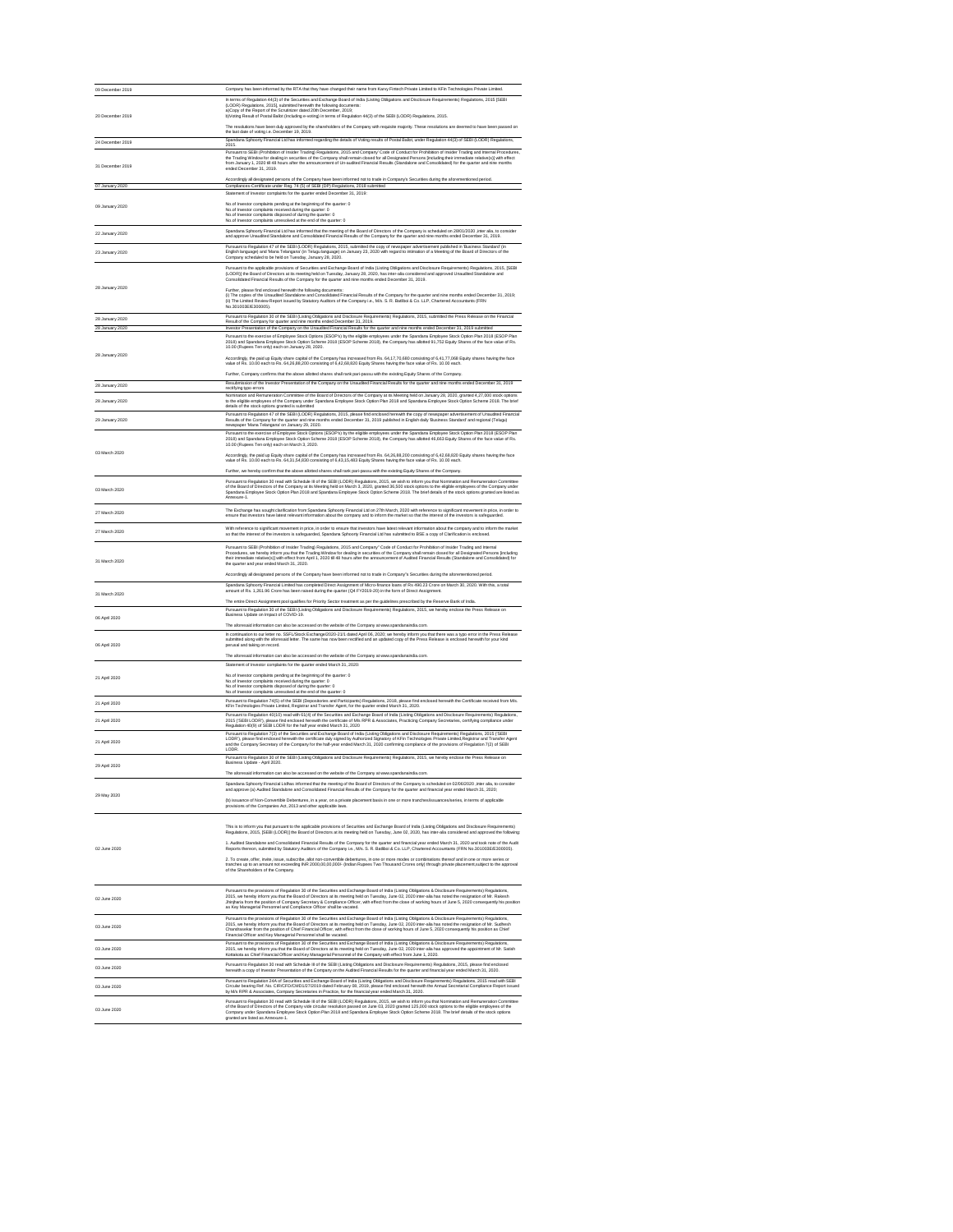| 09 December 2019                   | Company has been informed by the RTA that they have changed their name from Karvy Fintech Private Limited to KFin Technologies Private Limited.                                                                                                                                                                                                                                                                                                                                                                                                                                                                                  |
|------------------------------------|----------------------------------------------------------------------------------------------------------------------------------------------------------------------------------------------------------------------------------------------------------------------------------------------------------------------------------------------------------------------------------------------------------------------------------------------------------------------------------------------------------------------------------------------------------------------------------------------------------------------------------|
| 20 December 2019                   | In terms of Regulation 44(3) of the Securities and Exchange Board of India (Listing Obligations and Disclosure Requirements) Regulations, 2015 [SEBI<br>(LODR) Regulations, 2015], submitted herewith the following documents:<br>a)Copy of the Report of the Scrutinizer dated 20th December, 2019;<br>b) Voting Result of Postal Ballot (Including e-voting) in terms of Regulation 44(3) of the SEBI (LODR) Regulations, 2015.                                                                                                                                                                                                |
| 24 December 2019                   | The resolutions have been duly approved by the shareholders of the Company with requisite majority. These resolutions are deemed to have been passed on<br>the last date of voting i.e. December 19, 2019.<br>Spandana Sphoorty Financial Ltd has informed regarding the details of Voting results of Postal Ballot, under Regulation 44(3) of SEBI (LODR) Regulations,                                                                                                                                                                                                                                                          |
| 31 December 2019                   | 2015.<br>Pursuant to SEBI (Prohibition of Insider Trading) Regulations, 2015 and Company' Code of Conduct for Prohibition of Insider Trading and Internal Procedures,<br>the Trading Window for dealing in securities of the Company shall remain closed for all Designated Persons [including their immediate relative(s)] with effect<br>from January 1, 2020 till 48 hours after the announcement of Un-audited Financial Results (Standalone and Consolidated) for the quarter and nine months<br>ended December 31, 2019.                                                                                                   |
| 07 January 2020                    | Accordingly all designated persons of the Company have been informed not to trade in Company's Securities during the aforementioned period.<br>Compliances-Certificate under Reg. 74 (5) of SEBI (DP) Regulations, 2018 submitted                                                                                                                                                                                                                                                                                                                                                                                                |
|                                    | Statement of Investor complaints for the quarter ended December 31, 2019:<br>No.of Investor complaints pending at the beginning of the quarter: 0                                                                                                                                                                                                                                                                                                                                                                                                                                                                                |
| 09 January 2020                    | No.of Investor complaints received during the quarter: 0<br>No.of Investor complaints disposed of during the quarter: 0<br>No.of Investor complaints unresolved at the end of the quarter: 0                                                                                                                                                                                                                                                                                                                                                                                                                                     |
| 22 January 2020                    | Spandana Sphoorty Financial Ltd has informed that the meeting of the Board of Directors of the Company is scheduled on 28/01/2020, inter alia, to consider<br>and approve Unaudited Standalone and Consolidated Financial Results of the Company for the quarter and nine months ended December 31, 2019.                                                                                                                                                                                                                                                                                                                        |
| 23 January 2020                    | Pursuant to Regulation 47 of the SEBI (LODR) Regulations, 2015, submitted the copy of newspaper advertisement published in 'Business Standard' (in<br>English language) and 'Mana Telangana' (in Telugu language) on January 23, 2020 with regard to intimation of a Meeting of the Board of Directors of the<br>Company scheduled to be held on Tuesday, January 28, 2020.                                                                                                                                                                                                                                                      |
| 28 January 2020                    | Pursuant to the applicable provisions of Securities and Exchange Board of India (Listing Obligations and Disclosure Requirements) Regulations, 2015, [SEBI<br>(LODR)] the Board of Directors at its meeting held on Tuesday, January 28, 2020, has inter-alia considered and approved Unaudited Standalone and<br>Consolidated Financial Results of the Company for the quarter and nine months ended December 31, 2019.                                                                                                                                                                                                         |
|                                    | Further, please find enclosed herewith the following documents:<br>(i) The copies of the Unaudited Standalone and Consolidated Financial Results of the Company for the quarter and nine months ended December 31, 2019;<br>(ii) The Limited Review Report issued by Statutory Auditors of the Company i.e., M/s. S. R. Batliboi & Co. LLP, Chartered Accountants (FRN<br>No.301003E/E300005).                                                                                                                                                                                                                                   |
| 28 January 2020<br>28 January 2020 | Pursuant to Regulation 30 of the SEBI (Listing Obligations and Disclosure Requirements) Regulations, 2015, submitted the Press Release on the Financial<br>Result of the Company for quarter and nine months ended December 31, 2019.<br>Investor Presentation of the Company on the Unaudited Financial Results for the quarter and nine months ended December 31, 2019 submitted                                                                                                                                                                                                                                               |
|                                    | Pursuant to the exercise of Employee Stock Options (ESOP's) by the eligible employees under the Spandana Employee Stock Option Plan 2018 (ESOP Plan<br>2018) and Spandana Employee Stock Option Scheme 2018 (ESOP Scheme 2018), the Company has allotted 91,752 Equity Shares of the face value of Rs.<br>10.00 (Rupees Ten only) each on January 28, 2020.                                                                                                                                                                                                                                                                      |
| 28 January 2020                    | Accordingly, the paid up Equity share capital of the Company has increased from Rs. 64,17,70,680 consisting of 6,41,77,068 Equity shares having the face<br>value of Rs. 10.00 each to Rs. 64,26,88,200 consisting of 6,42,68,820 Equity Shares having the face value of Rs. 10.00 each.                                                                                                                                                                                                                                                                                                                                         |
| 28 January 2020                    | Further, Company confirms that the above allotted shares shall rank pari-passu with the existing Equity Shares of the Company.<br>Resubmission of the Investor Presentation of the Company on the Unaudited Financial Results for the quarter and nine months ended December 31, 2019<br>rectifying typo errors                                                                                                                                                                                                                                                                                                                  |
| 28 January 2020                    | Nomination and Remuneration Committee of the Board of Directors of the Company at its Meeting held on January 28, 2020, granted 4,27,000 stock options<br>to the eligible employees of the Company under Spandana Employee Stock Option Plan 2018 and Spandana Employee Stock Option Scheme 2018. The brief<br>details of the stock options granted is submitted                                                                                                                                                                                                                                                                 |
| 29 January 2020                    | Pursuant to Regulation 47 of the SEBI (LODR) Regulations, 2015, please find enclosed herewith the copy of newspaper advertisement of Unaudited Financial<br>Results of the Company for the quarter and nine months ended December 31, 2019 published in English daily 'Business Standard' and regional (Telugu)<br>newspaper 'Mana Telangana' on January 29, 2020.                                                                                                                                                                                                                                                               |
|                                    | Pursuant to the exercise of Employee Stock Options (ESOP's) by the eligible employees under the Spandana Employee Stock Option Plan 2018 (ESOP Plan<br>2018) and Spandana Employee Stock Option Scheme 2018 (ESOP Scheme 2018), the Company has allotted 46,663 Equity Shares of the face value of Rs.<br>10.00 (Rupees Ten only) each on March 3, 2020.                                                                                                                                                                                                                                                                         |
| 03 March 2020                      | Accordingly, the paid up Equity share capital of the Company has increased from Rs. 64,26,88,200 consisting of 6,42,68,820 Equity shares having the face<br>value of Rs. 10.00 each to Rs. 64,31,54,830 consisting of 6,43,15,483 Equity Shares having the face value of Rs. 10.00 each.                                                                                                                                                                                                                                                                                                                                         |
| 03 March 2020                      | Further, we hereby confirm that the above allotted shares shall rank pari-passu with the existing Equity Shares of the Company.<br>Pursuant to Regulation 30 read with Schedule III of the SEBI (LODR) Regulations, 2015, we wish to inform you that Nomination and Remuneration Committee<br>of the Board of Directors of the Company at its Meeting held on March 3, 2020, granted 36,500 stock options to the eligible employees of the Company under<br>Spandana Employee Stock Option Plan 2018 and Spandana Employee Stock Option Scheme 2018. The brief details of the stock options granted are listed as<br>Annexure-1. |
| 27 March 2020                      | The Exchange has sought clarification from Spandana Sphoorty Financial Ltd on 27th March, 2020 with reference to significant movement in price, in order to<br>ensure that investors have latest relevant information about the company and to inform the market so that the interest of the investors is safeguarded.                                                                                                                                                                                                                                                                                                           |
| 27 March 2020                      | With reference to significant movement in price, in order to ensure that investors have latest relevant information about the company and to inform the market<br>so that the interest of the investors is safeguarded, Spandana Sphoorty Financial Ltd has submitted to BSE a copy of Clarification is enclosed.                                                                                                                                                                                                                                                                                                                |
| 31 March 2020                      | Pursuant to SEBI (Prohibition of Insider Trading) Regulations, 2015 and Company" Code of Conduct for Prohibition of Insider Trading and Internal<br>Procedures, we hereby inform you that the Trading Window for dealing in securities of the Company shall remain closed for all Designated Persons [including<br>their immediate relative(s)] with effect from April 1, 2020 till 48 hours after the announcement of Audited Financial Results (Standalone and Consolidated) for<br>the quarter and year ended March 31, 2020.                                                                                                 |
|                                    | Accordingly all designated persons of the Company have been informed not to trade in Company"s Securities during the aforementioned period.<br>Spandana Sphoorty Financial Limited has completed Direct Assignment of Micro-finance loans of Rs 490.23 Crore on March 30, 2020. With this, a total<br>amount of Rs. 1,261.96 Crore has been raised during the quarter (Q4 FY2019-20) in the form of Direct Assignment.                                                                                                                                                                                                           |
| 31 March 2020                      | The entire Direct Assignment pool qualifies for Priority Sector treatment as per the guidelines prescribed by the Reserve Bank of India.<br>Pursuant to Regulation 30 of the SEBI (Listing Obligations and Disclosure Requirements) Regulations, 2015, we hereby enclose the Press Release on<br>Business Update on Impact of COVID-19.                                                                                                                                                                                                                                                                                          |
| 06 April 2020<br>06 April 2020     | The aforesaid information can also be accessed on the website of the Company at www.spandanaindia.com.<br>In continuation to our letter no. SSFL/Stock Exchange/2020-21/1 dated April 06, 2020; we hereby inform you that there was a typo error in the Press Release<br>submitted along with the aforesaid letter. The same has now been rectified and an updated copy of the Press Release is enclosed herewith for your kind<br>perusal and taking on record.                                                                                                                                                                 |
|                                    | The aforesaid information can also be accessed on the website of the Company at www.spandanaindia.com.<br>Statement of Investor complaints for the quarter ended March 31, 2020:                                                                                                                                                                                                                                                                                                                                                                                                                                                 |
| 21 April 2020                      | No.of Investor complaints pending at the beginning of the quarter: 0<br>No.of Investor complaints received during the quarter: 0<br>No.of Investor complaints disposed of during the quarter: 0<br>No.of Investor complaints unresolved at the end of the quarter: 0                                                                                                                                                                                                                                                                                                                                                             |
| 21 April 2020                      | Pursuant to Regulation 74(5) of the SEBI (Depositories and Participants) Regulations, 2018, please find enclosed herewith the Certificate received from M/s.<br>KFin Technologies Private Limited, Registrar and Transfer Agent, for the quarter ended March 31, 2020.                                                                                                                                                                                                                                                                                                                                                           |
| 21 April 2020                      | Pursuant to Regulation 40(10) read with 61(4) of the Securities and Exchange Board of India (Listing Obligations and Disclosure Requirements) Regulations,<br>2015 ('SEBI LODR'), please find enclosed herewith the certificate of M/s RPR & Associates, Practicing Company Secretaries, certifying compliance under<br>Regulation 40(9) of SEBI LODR for the half year ended March 31, 2020                                                                                                                                                                                                                                     |
| 21 April 2020                      | Pursuant to Regulation 7(3) of the Securities and Exchange Board of India (Listing Obligations and Disclosure Requirements) Regulations, 2015 ('SEBI<br>LODR'), please find enclosed herewith the certificate duly signed by Authorized Signatory of KFin Technologies Private Limited, Registrar and Transfer Agent<br>and the Company Secretary of the Company for the half-year ended March 31, 2020 confirming compliance of the provisions of Regulation 7(2) of SEBI<br>LODR.                                                                                                                                              |
| 29 April 2020                      | Pursuant to Regulation 30 of the SEBI (Listing Obligations and Disclosure Requirements) Regulations, 2015, we hereby enclose the Press Release on<br>Business Update - April 2020.                                                                                                                                                                                                                                                                                                                                                                                                                                               |
| 29 May 2020                        | The aforesaid information can also be accessed on the website of the Company at www.spandanaindia.com.<br>Spandana Sphoorty Financial Ltdhas informed that the meeting of the Board of Directors of the Company is scheduled on 02/06/2020 , inter alia, to consider<br>and approve (a) Audited Standalone and Consolidated Financial Results of the Company for the quarter and financial year ended March 31, 2020;                                                                                                                                                                                                            |
|                                    | (b) issuance of Non-Convertible Debentures, in a year, on a private placement basis in one or more tranches/issuances/series, in terms of applicable<br>provisions of the Companies Act, 2013 and other applicable laws.                                                                                                                                                                                                                                                                                                                                                                                                         |
|                                    | This is to inform you that pursuant to the applicable provisions of Securities and Exchange Board of India (Listing Obligations and Disclosure Requirements)<br>Regulations, 2015, [SEBI (LODR)] the Board of Directors at its meeting held on Tuesday, June 02, 2020, has inter-alia considered and approved the following:                                                                                                                                                                                                                                                                                                     |
| 02 June 2020                       | 1. Audited Standalone and Consolidated Financial Results of the Company for the quarter and financial year ended March 31, 2020 and took note of the Audit<br>Reports thereon, submitted by Statutory Auditors of the Company i.e., M/s. S. R. Batliboi & Co. LLP, Chartered Accountants (FRN No.301003E/E300005).                                                                                                                                                                                                                                                                                                               |
|                                    | 2. To create, offer, invite, issue, subscribe, allot non-convertible debentures, in one or more modes or combinations thereof and in one or more series or<br>tranches up to an amount not exceeding INR 2000,00,00,000/- (Indian Rupees Two Thousand Crores only) through private placement, subject to the approval<br>of the Shareholders of the Company.                                                                                                                                                                                                                                                                     |
| 02 June 2020                       | Pursuant to the provisions of Regulation 30 of the Securities and Exchange Board of India (Listing Obligations & Disclosure Requirements) Regulations,<br>2015, we hereby inform you that the Board of Directors at its meeting held on Tuesday, June 02, 2020 inter-alia has noted the resignation of Mr. Rakesh<br>Jhinjharia from the position of Company Secretary & Compliance Officer, with effect from the close of working hours of June 5, 2020 consequently his position<br>as Key Managerial Personnel and Compliance Officer shall be vacated.                                                                       |
| 03 June 2020                       | Pursuant to the provisions of Regulation 30 of the Securities and Exchange Board of India (Listing Obligations & Disclosure Requirements) Regulations,<br>2015, we hereby inform you that the Board of Directors at its meeting held on Tuesday, June 02, 2020 inter-alia has noted the resignation of Mr. Sudhesh<br>Chandrasekar from the position of Chief Financial Officer, with effect from the close of working hours of June 5, 2020 consequently his position as Chief<br>Financial Officer and Key Managerial Personnel shall be vacated.                                                                              |
| 03 June 2020                       | Pursuant to the provisions of Regulation 30 of the Securities and Exchange Board of India (Listing Obligations & Disclosure Requirements) Regulations,<br>2015, we hereby inform you that the Board of Directors at its meeting held on Tuesday, June 02, 2020 inter-alia has approved the appointment of Mr. Satish<br>Kottakota as Chief Financial Officer and Key Managerial Personnel of the Company with effect from June 1, 2020.                                                                                                                                                                                          |
| 03 June 2020                       | Pursuant to Regulation 30 read with Schedule III of the SEBI (Listing Obligations and Disclosure Requirements) Regulations, 2015, please find enclosed<br>herewith a copy of Investor Presentation of the Company on the Audited Financial Results for the quarter and financial year ended March 31, 2020.                                                                                                                                                                                                                                                                                                                      |
| 03 June 2020                       | Pursuant to Regulation 24A of Securities and Exchange Board of India (Listing Obligations and Disclosure Requirements) Regulations, 2015 read with SEBI<br>Circular bearing Ref. No. CIR/CFD/CMD1/27/2019 dated February 08, 2019, please find enclosed herewith the Annual Secretarial Compliance Report issued<br>by M/s RPR & Associates, Company Secretaries in Practice, for the financial year ended March 31, 2020.                                                                                                                                                                                                       |
| 03 June 2020                       | Pursuant to Regulation 30 read with Schedule III of the SEBI (LODR) Regulations, 2015, we wish to inform you that Nomination and Remuneration Committee<br>of the Board of Directors of the Company vide circular resolution passed on June 03, 2020 granted 125,000 stock options to the eligible employees of the<br>Company under Spandana Employee Stock Option Plan 2018 and Spandana Employee Stock Option Scheme 2018. The brief details of the stock options                                                                                                                                                             |
|                                    | granted are listed as Annexure-1.                                                                                                                                                                                                                                                                                                                                                                                                                                                                                                                                                                                                |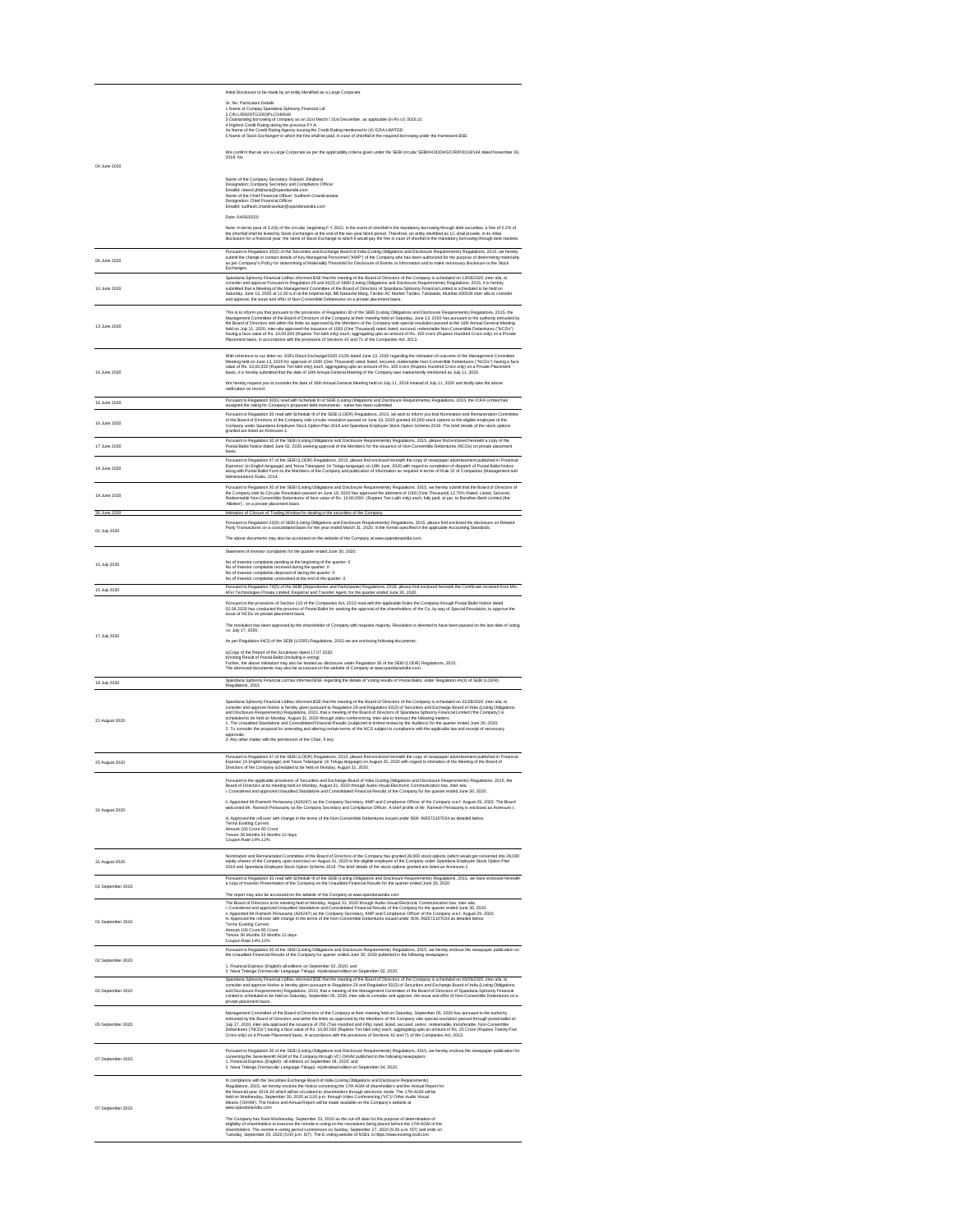|              | Initial Disclosure to be made by an entity identified as a Large Corporate.                                                                                                                                                                                                                                                                                                                                                                                                                                                                                                                                                                                                                                                                                                                                                                                                                                     |
|--------------|-----------------------------------------------------------------------------------------------------------------------------------------------------------------------------------------------------------------------------------------------------------------------------------------------------------------------------------------------------------------------------------------------------------------------------------------------------------------------------------------------------------------------------------------------------------------------------------------------------------------------------------------------------------------------------------------------------------------------------------------------------------------------------------------------------------------------------------------------------------------------------------------------------------------|
|              | Sr. No. Particulars Details<br>1 Name of Compay Spandana Sphoorty Financial Ltd<br>2 CIN L65929TG2003PLC040648<br>3 Outstanding borrowing of company as on 31st March / 31st December, as applicable (in Rs cr) 3016.21<br>4 Highest Credit Rating during the previous FY A-<br>4a Name of the Credit Rating Agency issuing the Credit Rating mentioned in (4) ICRA LIMITED<br>5 Name of Stock Exchange# in which the fine shall be paid, in case of shortfall in the required borrowing under the framework BSE                                                                                                                                                                                                                                                                                                                                                                                                |
|              | We confirm that we are a Large Corporate as per the applicability criteria given under the SEBI circular SEBI/HO/DDHS/CIR/P/2018/144 dated November 26,<br>2018. No                                                                                                                                                                                                                                                                                                                                                                                                                                                                                                                                                                                                                                                                                                                                             |
| 04 June 2020 |                                                                                                                                                                                                                                                                                                                                                                                                                                                                                                                                                                                                                                                                                                                                                                                                                                                                                                                 |
|              | Name of the Company Secretary: Rakesh Jhinjharia<br>Designation: Company Secretary and Compliance Officer<br>Emailld: rakesh.jhinjharia@spandaindia.com<br>Name of the Chief Financial Officer: Sudhesh Chandrasekar<br>Designation: Chief Financial Officer<br>Emailld: sudhesh.chandrasekar@spandanaindia.com                                                                                                                                                                                                                                                                                                                                                                                                                                                                                                                                                                                                 |
|              | Date: 04/06/2020                                                                                                                                                                                                                                                                                                                                                                                                                                                                                                                                                                                                                                                                                                                                                                                                                                                                                                |
|              | Note: In terms para of 3.2(ii) of the circular, beginning F.Y 2022, in the event of shortfall in the mandatory borrowing through debt securities, a fine of 0.2% of<br>the shortfall shall be levied by Stock Exchanges at the end of the two-year block period. Therefore, an entity identified as LC shall provide, in its initial<br>disclosure for a financial year, the name of Stock Exchange to which it would pay the fine in case of shortfall in the mandatory borrowing through debt markets.                                                                                                                                                                                                                                                                                                                                                                                                        |
| 06 June 2020 | Pursuant to Regulation 30(5) of the Securities and Exchange Board of India (Listing Obligations and Disclosure Requirements) Regulations, 2015, we hereby<br>submit the change in contact details of Key Managerial Personnel ("KMP") of the Company who has been authorized for the purpose of determining materiality<br>as per Company"s Policy for determining of Materiality Threshold for Disclosure of Events or Information and to make necessary disclosure to the Stock<br>Exchanges.                                                                                                                                                                                                                                                                                                                                                                                                                 |
| 10 June 2020 | Spandana Sphoorty Financial Ltdhas informed BSE that the meeting of the Board of Directors of the Company is scheduled on 13/06/2020 ,inter alia, to<br>consider and approve Pursuant to Regulation 29 and 50(3) of SEBI (Listing Obligations and Disclosure Requirements) Regulations, 2015, it is hereby<br>submitted that a Meeting of the Management Committee of the Board of Directors of Spandana Sphoorty Financial Limited is scheduled to be held on<br>Saturday, June 13, 2020 at 11.00 a.m at the Imperial Apt, BB Nakashe Marg, Tardeo AC Market Tardeo, Tulsiwada, Mumbai 400034 inter-alia to consider<br>and approve, the issue and offer of Non-Convertible Debentures on a private placement basis.                                                                                                                                                                                           |
| 13 June 2020 | This is to inform you that pursuant to the provisions of Regulation 30 of the SEBI (Listing Obligations and Disclosure Requirements) Regulations, 2015, the<br>Management Committee of the Board of Directors of the Company at their meeting held on Saturday, June 13, 2020 has pursuant to the authority entrusted by<br>the Board of Directors and within the limits as approved by the Members of the Company vide special resolution passed at the 16th Annual General Meeting<br>held on July 11, 2020, inter-alia approved the issuance of 1000 (One Thousand) rated, listed, secured, redeemable Non-Convertible Debentures ("NCDs")<br>having a face value of Rs. 10,00,000 (Rupees Ten lakh only) each, aggregating upto an amount of Rs. 100 crore (Rupees Hundred Crore only) on a Private<br>Placement basis, in accordance with the provisions of Sections 42 and 71 of the Companies Act, 2013. |
| 16 June 2020 | With reference to our letter no. SSFL/Stock Exchange/2020-21/26 dated June 13, 2020 regarding the intimation of outcome of the Management Committee<br>Meeting held on June 13, 2020 for approval of 1000 (One Thousand) rated, listed, secured, redeemable Non-Convertible Debentures ("NCDs") having a face<br>value of Rs. 10,00,000 (Rupees Ten lakh only) each, aggregating upto an amount of Rs. 100 crore (Rupees Hundred Crore only) on a Private Placement<br>basis, it is hereby submitted that the date of 16th Annual General Meeting of the Company was inadvertently mentioned as July 11, 2020.<br>We hereby request you to consider the date of 16th Annual General Meeting held on July 11, 2019 instead of July 11, 2020 and kindly take the above<br>ratification on record.                                                                                                                 |
| 16 June 2020 | Pursuant to Regulation 30(6) read with Schedule III of SEBI (Listing Obligations and Disclosure Requirements) Regulations, 2015, the ICRA Limited has<br>assigned the rating for Company's proposed debt instruments - same has been submitted                                                                                                                                                                                                                                                                                                                                                                                                                                                                                                                                                                                                                                                                  |
| 16 June 2020 | Pursuant to Regulation 30 read with Schedule III of the SEBI (LODR) Regulations, 2015, we wish to inform you that Nomination and Remuneration Committee<br>of the Board of Directors of the Company vide circular resolution passed on June 16, 2020 granted 40,000 stock options to the eligible employee of the<br>Company under Spandana Employee Stock Option Plan 2018 and Spandana Employee Stock Option Scheme 2018. The brief details of the stock options<br>granted are listed as Annexure-1.                                                                                                                                                                                                                                                                                                                                                                                                         |
| 17 June 2020 | Pursuant to Regulation 30 of the SEBI (Listing Obligations and Disclosure Requirements) Regulations, 2015, please find enclosed herewith a copy of the<br>Postal Ballot Notice dated June 02, 2020 seeking approval of the Members for the issuance of Non-Convertible Debentures (NCDs) on private placement<br>basis.                                                                                                                                                                                                                                                                                                                                                                                                                                                                                                                                                                                         |
| 18 June 2020 | Pursuant to Regulation 47 of the SEBI (LODR) Regulations, 2015, please find enclosed herewith the copy of newspaper advertisement published in 'Financial<br>Expresss' (in English language) and 'Nava Telangana' (in Telugu language) on 18th June, 2020 with regard to completion of dispatch of Postal Ballot Notice<br>along with Postal Ballot Form to the Members of the Company and publication of information as required in terms of Rule 22 of Companies (Management and<br>Administration) Rules, 2014.                                                                                                                                                                                                                                                                                                                                                                                              |
|              | Pursuant to Regulation 30 of the SEBI (Listing Obligations and Disclosure Requirements) Regulations, 2015, we hereby submit that the Board of Directors of                                                                                                                                                                                                                                                                                                                                                                                                                                                                                                                                                                                                                                                                                                                                                      |

| 19 June 2020      | the Company vide its Circular Resolution passed on June 19, 2020 has approved the allotment of 1000 (One Thousand) 12.75% Rated, Listed, Secured,<br>Redeemable Non-Convertible Debentures of face value of Rs. 10,00,000/- (Rupees Ten Lakh only) each, fully paid, at par, to Bandhan Bank Limited (the<br>'Allottee'), on a private placement basis.                                                                                                                                                                                                                                                                                                                                                                                                                                                                                                                                                                                                                                            |
|-------------------|----------------------------------------------------------------------------------------------------------------------------------------------------------------------------------------------------------------------------------------------------------------------------------------------------------------------------------------------------------------------------------------------------------------------------------------------------------------------------------------------------------------------------------------------------------------------------------------------------------------------------------------------------------------------------------------------------------------------------------------------------------------------------------------------------------------------------------------------------------------------------------------------------------------------------------------------------------------------------------------------------|
| 30 June 2020      | Intimation of Closure of Trading Window for dealing in the securities of the Company                                                                                                                                                                                                                                                                                                                                                                                                                                                                                                                                                                                                                                                                                                                                                                                                                                                                                                               |
| 01 July 2020      | Pursuant to Regulation 23(9) of SEBI (Listing Obligations and Disclosure Requirements) Regulations, 2015, please find enclosed the disclosure on Related<br>Party Transactions on a consolidated basis for the year ended March 31, 2020, in the format specified in the applicable Accounting Standards.                                                                                                                                                                                                                                                                                                                                                                                                                                                                                                                                                                                                                                                                                          |
|                   | The above documents may also be accessed on the website of the Company at www.spandanaindia.com.                                                                                                                                                                                                                                                                                                                                                                                                                                                                                                                                                                                                                                                                                                                                                                                                                                                                                                   |
|                   | Statement of Investor complaints for the quarter ended June 30, 2020:                                                                                                                                                                                                                                                                                                                                                                                                                                                                                                                                                                                                                                                                                                                                                                                                                                                                                                                              |
| 15 July 2020      | No.of Investor complaints pending at the beginning of the quarter: 0<br>No.of Investor complaints received during the quarter: 0<br>No.of Investor complaints disposed of during the quarter: 0<br>No.of Investor complaints unresolved at the end of the quarter: 0                                                                                                                                                                                                                                                                                                                                                                                                                                                                                                                                                                                                                                                                                                                               |
| 15 July 2020      | Pursuant to Regulation 74(5) of the SEBI (Depositories and Participants) Regulations, 2018, please find enclosed herewith the Certificate received from M/s.<br>KFin Technologies Private Limited, Registrar and Transfer Agent, for the quarter ended June 30, 2020.                                                                                                                                                                                                                                                                                                                                                                                                                                                                                                                                                                                                                                                                                                                              |
|                   | Pursuant to the provisions of Section 110 of the Companies Act, 2013 read with the applicable Rules the Company through Postal Ballot Notice dated<br>02.06.2020 has conducted the process of Postal Ballot for seeking the approval of the shareholders of the Co, by way of Special Resolution, to approve the<br>issue of NCDs on private placement basis.                                                                                                                                                                                                                                                                                                                                                                                                                                                                                                                                                                                                                                      |
|                   | The resolution has been approved by the shareholder of Company with requisite majority. Resolution is deemed to have been passed on the last date of voting<br>i.e. July 17, 2020.                                                                                                                                                                                                                                                                                                                                                                                                                                                                                                                                                                                                                                                                                                                                                                                                                 |
| 17 July 2020      | As per Regulation 44(3) of the SEBI (LODR) Regulations, 2015 we are enclosing following documents:                                                                                                                                                                                                                                                                                                                                                                                                                                                                                                                                                                                                                                                                                                                                                                                                                                                                                                 |
|                   | a)Copy of the Report of the Scrutinizer dated 17.07.2020;<br>b) Voting Result of Postal Ballot (Including e-voting)<br>Further, the above intimation may also be treated as disclosure under Regulation 30 of the SEBI (LODR) Regulations, 2015.<br>The aforesaid documents may also be accessed on the website of Company at www.spandanaindia.com.                                                                                                                                                                                                                                                                                                                                                                                                                                                                                                                                                                                                                                               |
| 18 July 2020      | Spandana Sphoorty Financial Ltd has informed BSE regarding the details of Voting results of Postal Ballot, under Regulation 44(3) of SEBI (LODR)<br>Regulations, 2015                                                                                                                                                                                                                                                                                                                                                                                                                                                                                                                                                                                                                                                                                                                                                                                                                              |
| 21 August 2020    | Spandana Sphoorty Financial Ltdhas informed BSE that the meeting of the Board of Directors of the Company is scheduled on 31/08/2020 , inter alia, to<br>consider and approve Notice is hereby given pursuant to Regulation 29 and Regulation 50(3) of Securities and Exchange Board of India (Listing Obligations<br>and Disclosure Requirements) Regulations, 2015, that a meeting of the Board of Directors of Spandana Sphoorty Financial Limited ('the Company') is<br>scheduled to be held on Monday, August 31, 2020 through video conferencing, inter-alia to transact the following matters:<br>1. The Unaudited Standalone and Consolidated Financial Results (subjected to limited review by the Auditors) for the quarter ended June 30, 2020;<br>2. To consider the proposal for amending and altering certain terms of the NCD subject to compliance with the applicable law and receipt of necessary<br>approvals;<br>3. Any other matter with the permission of the Chair, if any. |
| 25 August 2020    | Pursuant to Regulation 47 of the SEBI (LODR) Regulations, 2015, please find enclosed herewith the copy of newspaper advertisement published in 'Financial<br>Express' (in English language) and 'Nava Telangana' (in Telugu language) on August 25, 2020 with regard to intimation of the Meeting of the Board of<br>Directors of the Company scheduled to be held on Monday, August 31, 2020.                                                                                                                                                                                                                                                                                                                                                                                                                                                                                                                                                                                                     |
|                   | Pursuant to the applicable provisions of Securities and Exchange Board of India (Listing Obligations and Disclosure Requirements) Regulations, 2015, the<br>Board of Directors at its meeting held on Monday, August 31, 2020 through Audio-Visual Electronic Communication has, inter-alia:<br>i. Considered and approved Unaudited Standalone and Consolidated Financial Results of the Company for the quarter ended June 30, 2020.                                                                                                                                                                                                                                                                                                                                                                                                                                                                                                                                                             |
| 31 August 2020    | ii. Appointed Mr.Ramesh Periasamy (A26247) as the Company Secretary, KMP and Compliance Officer of the Company w.e.f. August 29, 2020. The Board<br>welcomed Mr. Ramesh Periasamy as the Company Secretary and Compliance Officer. A brief profile of Mr. Ramesh Periasamy is enclosed as Annexure I.                                                                                                                                                                                                                                                                                                                                                                                                                                                                                                                                                                                                                                                                                              |
|                   | iii. Approved the roll over with change in the terms of the Non-Convertible Debentures issued under ISIN: INE572J07034 as detailed below:<br><b>Terms Existing Current</b><br>Amount 100 Crore 85 Crore<br>Tenure 36 Months 33 Months 12 days<br>Coupon Rate 14% 12%                                                                                                                                                                                                                                                                                                                                                                                                                                                                                                                                                                                                                                                                                                                               |
| 31 August 2020    | Nomination and Remuneration Committee of the Board of Directors of the Company has granted 28,000 stock options (which would get converted into 28,000<br>equity shares of the Company upon exercise) on August 31, 2020 to the eligible employee of the Company under Spandana Employee Stock Option Plan<br>2018 and Spandana Employee Stock Option Scheme 2018. The brief details of the stock options granted are listed as Annexure-1.                                                                                                                                                                                                                                                                                                                                                                                                                                                                                                                                                        |
| 01 September 2020 | Pursuant to Regulation 30 read with Schedule III of the SEBI (Listing Obligations and Disclosure Requirements) Regulations, 2015, we have enclosed herewith<br>a copy of Investor Presentation of the Company on the Unaudited Financial Results for the quarter ended June 30, 2020.                                                                                                                                                                                                                                                                                                                                                                                                                                                                                                                                                                                                                                                                                                              |
|                   | The report may also be accessed on the website of the Company at www.spandanaindia.com<br>The Board of Directors at its meeting held on Monday, August 31, 2020 through Audio-Visual Electronic Communication has, inter-alia:                                                                                                                                                                                                                                                                                                                                                                                                                                                                                                                                                                                                                                                                                                                                                                     |
| 01 September 2020 | i. Considered and approved Unaudited Standalone and Consolidated Financial Results of the Company for the quarter ended June 30, 2020.<br>ii. Appointed Mr.Ramesh Periasamy (A26247) as the Company Secretary, KMP and Compliance Officer of the Company w.e.f. August 29, 2020<br>iii. Approved the roll over with change in the terms of the Non-Convertible Debentures issued under ISIN: INE572J07034 as detailed below:<br><b>Terms Existing Current</b><br>Amount 100 Crore 85 Crore<br>Tenure 36 Months 33 Months 12 days<br>Coupon Rate 14% 12%                                                                                                                                                                                                                                                                                                                                                                                                                                            |
|                   | Pursuant to Regulation 30 of the SEBI (Listing Obligations and Disclosure Requirements) Regulations, 2015, we hereby enclose the newspaper publication on                                                                                                                                                                                                                                                                                                                                                                                                                                                                                                                                                                                                                                                                                                                                                                                                                                          |
| 02 September 2020 | the Unaudited Financial Results of the Company for quarter ended June 30, 2020 published in the following newspapers:<br>1. Financial Express (English)-all editions on September 02, 2020; and                                                                                                                                                                                                                                                                                                                                                                                                                                                                                                                                                                                                                                                                                                                                                                                                    |
| 02 September 2020 | 2. Nava Telanga (Vernacular Language-Telugu) -Hyderabad edition on September 02, 2020.<br>Spandana Sphoorty Financial Ltdhas informed BSE that the meeting of the Board of Directors of the Company is scheduled on 05/09/2020 , inter alia, to<br>consider and approve Notice is hereby given pursuant to Regulation 29 and Regulation 50(3) of Securities and Exchange Board of India (Listing Obligations<br>and Disclosure Requirements) Regulations, 2015, that a meeting of the Management Committee of the Board of Directors of Spandana Sphoorty Financial<br>Limited is scheduled to be held on Saturday, September 05, 2020, inter-alia to consider and approve, the issue and offer of Non-Convertible Debentures on a<br>private placement basis.                                                                                                                                                                                                                                     |
| 05 September 2020 | Management Committee of the Board of Directors of the Company at their meeting held on Saturday, September 05, 2020 has pursuant to the authority<br>entrusted by the Board of Directors and within the limits as approved by the Members of the Company vide special resolution passed through postal ballot on<br>July 17, 2020, inter-alia approved the issuance of 250 (Two Hundred and Fifty) rated, listed, secured, senior, redeemable, transferable, Non-Convertible<br>Debentures ("NCDs") having a face value of Rs. 10,00,000 (Rupees Ten lakh only) each, aggregating upto an amount of Rs. 25 Crore (Rupees Twenty Five<br>Crore only) on a Private Placement basis, in accordance with the provisions of Sections 42 and 71 of the Companies Act, 2013.                                                                                                                                                                                                                              |
| 07 September 2020 | Pursuant to Regulation 30 of the SEBI (Listing Obligations and Disclosure Requirements) Regulations, 2015, we hereby enclose the newspaper publication for<br>convening the Seventeenth AGM of the Company through VC/OAVM published in the following newspapers:<br>1. Financial Express (English)- all editions on September 04, 2020; and<br>2. Nava Telanga (Vernacular Language-Telugu) -Hyderabad edition on September 04, 2020.                                                                                                                                                                                                                                                                                                                                                                                                                                                                                                                                                             |
| 07 September 2020 | In compliance with the Securities Exchange Board of India (Listing Obligations and Disclosure Requirements)<br>Regulations, 2015, we hereby enclose the Notice convening the 17th AGM of shareholders and the Annual Report for<br>the financial year 2019-20 which will be circulated to shareholders through electronic mode. The 17th AGM will be<br>held on Wednesday, September 30, 2020 at 3.00 p.m. through Video Conferencing ('VC')/ Other Audio Visual<br>Means ('OAVM'). The Notice and Annual Report will be made available on the Company's website at<br>www.spandanaindia.com.                                                                                                                                                                                                                                                                                                                                                                                                      |
|                   | The Company has fixed Wednesday, September 23, 2020 as the cut-off date for the purpose of determination of<br>eligibility of shareholders to exercise the remote e-voting on the resolutions being placed before the 17th AGM of the<br>shareholders. The remote e-voting period commences on Sunday, September 27, 2020 (9.00 a.m. IST) and ends on<br>Tuesday, September 29, 2020 (5:00 p.m. IST). The E-voting website of NSDL is https://www.evoting.nsdl.com                                                                                                                                                                                                                                                                                                                                                                                                                                                                                                                                 |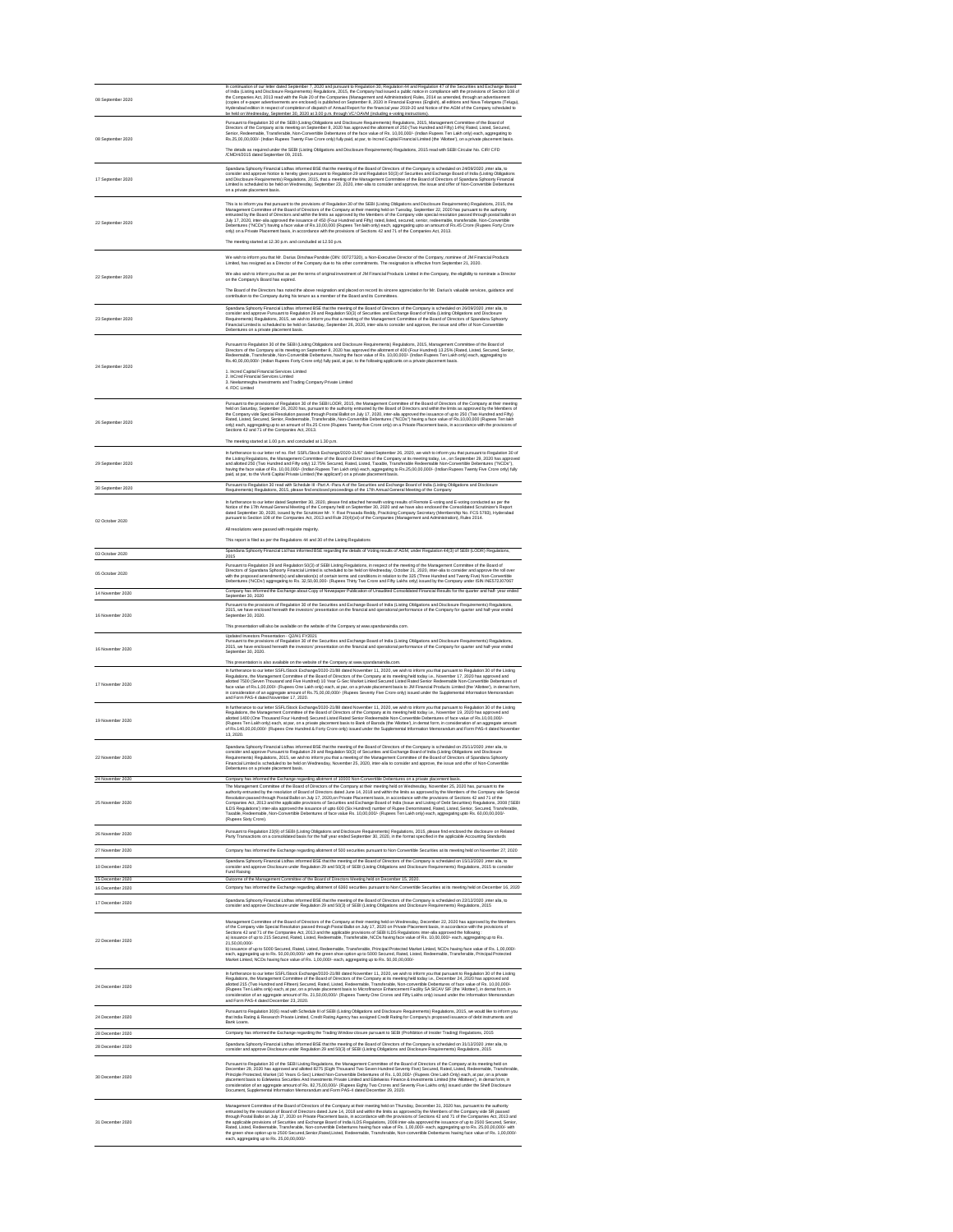| 08 September 2020                    | In continuation of our letter dated September 7, 2020 and pursuant to Regulation 30, Regulation 44 and Regulation 47 of the Securities and Exchange Board<br>of India (Listing and Disclosure Requirements) Regulations, 2015, the Company had issued a public notice in compliance with the provisions of Section 108 of<br>the Companies Act, 2013 read with the Rule 20 of the Companies (Management and Administration) Rules, 2014 as amended, through an advertisement<br>(copies of e-paper advertisements are enclosed) is published on September 8, 2020 in Financial Express (English), all editions and Nava Telangana (Telugu),<br>Hyderabad edition in respect of completion of dispatch of Annual Report for the financial year 2019-20 and Notice of the AGM of the Company scheduled to<br>be held on Wednesday, September 30, 2020 at 3.00 p.m. through VC/OAVM (including e-voting instructions).                                                                                                                                                                                                                                                                               |
|--------------------------------------|---------------------------------------------------------------------------------------------------------------------------------------------------------------------------------------------------------------------------------------------------------------------------------------------------------------------------------------------------------------------------------------------------------------------------------------------------------------------------------------------------------------------------------------------------------------------------------------------------------------------------------------------------------------------------------------------------------------------------------------------------------------------------------------------------------------------------------------------------------------------------------------------------------------------------------------------------------------------------------------------------------------------------------------------------------------------------------------------------------------------------------------------------------------------------------------------------|
| 08 September 2020                    | Pursuant to Regulation 30 of the SEBI (Listing Obligations and Disclosure Requirements) Regulations, 2015, Management Committee of the Board of<br>Directors of the Company at its meeting on September 8, 2020 has approved the allotment of 250 (Two Hundred and Fifty) 14% (Rated, Listed, Secured,<br>Senior, Redeemable, Transferable, Non-Convertible Debentures of the face value of Rs. 10,00,000/- (Indian Rupees Ten Lakh only) each, aggregating to<br>Rs.25,00,00,000/- (Indian Rupees Twenty Five Crore only) fully paid, at par, to Incred Capital Financial Limited (the 'Allottee'), on a private placement basis.<br>The details as required under the SEBI (Listing Obligations and Disclosure Requirements) Regulations, 2015 read with SEBI Circular No. CIR/ CFD<br>/CMD/4/2015 dated September 09, 2015.                                                                                                                                                                                                                                                                                                                                                                    |
| 17 September 2020                    | Spandana Sphoorty Financial Ltdhas informed BSE that the meeting of the Board of Directors of the Company is scheduled on 24/09/2020, inter alia, to<br>consider and approve Notice is hereby given pursuant to Regulation 29 and Regulation 50(3) of Securities and Exchange Board of India (Listing Obligations<br>and Disclosure Requirements) Regulations, 2015, that a meeting of the Management Committee of the Board of Directors of Spandana Sphoorty Financial<br>Limited is scheduled to be held on Wednesday, September 23, 2020, inter-alia to consider and approve, the issue and offer of Non-Convertible Debentures<br>on a private placement basis.                                                                                                                                                                                                                                                                                                                                                                                                                                                                                                                              |
| 22 September 2020                    | This is to inform you that pursuant to the provisions of Regulation 30 of the SEBI (Listing Obligations and Disclosure Requirements) Regulations, 2015, the<br>Management Committee of the Board of Directors of the Company at their meeting held on Tuesday, September 22, 2020 has pursuant to the authority<br>entrusted by the Board of Directors and within the limits as approved by the Members of the Company vide special resolution passed through postal ballot on<br>July 17, 2020, inter-alia approved the issuance of 450 (Four Hundred and Fifty) rated, listed, secured, senior, redeemable, transferable, Non-Convertible<br>Debentures ("NCDs") having a face value of Rs.10,00,000 (Rupees Ten lakh only) each, aggregating upto an amount of Rs.45 Crore (Rupees Forty Crore<br>only) on a Private Placement basis, in accordance with the provisions of Sections 42 and 71 of the Companies Act, 2013.<br>The meeting started at 12.30 p.m. and concluded at 12.50 p.m.                                                                                                                                                                                                     |
| 22 September 2020                    | We wish to inform you that Mr. Darius Dinshaw Pandole (DIN: 00727320), a Non-Executive Director of the Company, nominee of JM Financial Products<br>Limited, has resigned as a Director of the Company due to his other commitments. The resignation is effective from September 21, 2020.<br>We also wish to inform you that as per the terms of original investment of JM Financial Products Limited in the Company, the eligibility to nominate a Director<br>on the Company's Board has expired.<br>The Board of the Directors has noted the above resignation and placed on record its sincere appreciation for Mr. Darius's valuable services, guidance and<br>contribution to the Company during his tenure as a member of the Board and its Committees.                                                                                                                                                                                                                                                                                                                                                                                                                                   |
| 23 September 2020                    | Spandana Sphoorty Financial Ltdhas informed BSE that the meeting of the Board of Directors of the Company is scheduled on 26/09/2020 , inter alia, to<br>consider and approve Pursuant to Regulation 29 and Regulation 50(3) of Securities and Exchange Board of India (Listing Obligations and Disclosure<br>Requirements) Regulations, 2015, we wish to inform you that a meeting of the Management Committee of the Board of Directors of Spandana Sphoorty<br>Financial Limited is scheduled to be held on Saturday, September 26, 2020, inter-alia to consider and approve, the issue and offer of Non-Convertible<br>Debentures on a private placement basis.                                                                                                                                                                                                                                                                                                                                                                                                                                                                                                                               |
| 24 September 2020                    | Pursuant to Regulation 30 of the SEBI (Listing Obligations and Disclosure Requirements) Regulations, 2015, Management Committee of the Board of<br>Directors of the Company at its meeting on September 8, 2020 has approved the allotment of 400 (Four Hundred) 13.25% (Rated, Listed, Secured, Senior,<br>Redeemable, Transferable, Non-Convertible Debentures, having the face value of Rs. 10,00,000/- (Indian Rupees Ten Lakh only) each, aggregating to<br>Rs.40,00,00,000/- (Indian Rupees Forty Crore only) fully paid, at par, to the following applicants on a private placement basis.<br>1. Incred Capital Financial Services Limited<br>2. InCred Financial Services Limited<br>3. Neelammegha Investments and Trading Company Private Limited<br>4. FDC Limited                                                                                                                                                                                                                                                                                                                                                                                                                     |
| 26 September 2020                    | Pursuant to the provisions of Regulation 30 of the SEBI LODR, 2015, the Management Committee of the Board of Directors of the Company at their meeting<br>held on Saturday, September 26, 2020 has, pursuant to the authority entrusted by the Board of Directors and within the limits as approved by the Members of<br>the Company vide Special Resolution passed through Postal Ballot on July 17, 2020, inter-alia approved the issuance of up to 250 (Two Hundred and Fifty)<br>Rated, Listed, Secured, Senior, Redeemable, Transferable, Non-Convertible Debentures ("NCDs") having a face value of Rs.10,00,000 (Rupees Ten lakh<br>only) each, aggregating up to an amount of Rs.25 Crore (Rupees Twenty-five Crore only) on a Private Placement basis, in accordance with the provisions of<br>Sections 42 and 71 of the Companies Act, 2013.<br>The meeting started at 1.00 p.m. and concluded at 1.30 p.m.                                                                                                                                                                                                                                                                             |
| 29 September 2020                    | In furtherance to our letter ref no. Ref: SSFL/Stock Exchange/2020-21/67 dated September 26, 2020, we wish to inform you that pursuant to Regulation 30 of<br>the Listing Regulations, the Management Committee of the Board of Directors of the Company at its meeting today, i.e., on September 29, 2020 has approved<br>and allotted 250 (Two Hundred and Fifty only) 12.75% Secured, Rated, Listed, Taxable, Transferable Redeemable Non-Convertible Debentures ("NCDs"),<br>having the face value of Rs. 10,00,000/- (Indian Rupees Ten Lakh only) each, aggregating to Rs.25,00,00,000/- (Indian Rupees Twenty Five Crore only) fully<br>paid, at par, to the Vivriti Capital Private Limited ('the applicant') on a private placement basis.                                                                                                                                                                                                                                                                                                                                                                                                                                               |
| 30 September 2020                    | Pursuant to Regulation 30 read with Schedule III -Part A -Para A of the Securities and Exchange Board of India (Listing Obligations and Disclosure<br>Requirements) Regulations, 2015, please find enclosed proceedings of the 17th Annual General Meeting of the Company<br>In furtherance to our letter dated September 30, 2020, please find attached herewith voting results of Remote E-voting and E-voting conducted as per the                                                                                                                                                                                                                                                                                                                                                                                                                                                                                                                                                                                                                                                                                                                                                             |
| 02 October 2020                      | Notice of the 17th Annual General Meeting of the Company held on September 30, 2020 and we have also enclosed the Consolidated Scrutinizer's Report<br>dated September 30, 2020, issued by the Scrutinizer Mr. Y. Ravi Prasada Reddy, Practicing Company Secretary (Membership No. FCS 5783), Hyderabad<br>pursuant to Section 108 of the Companies Act, 2013 and Rule 20(4)(xii) of the Companies (Management and Administration), Rules 2014.<br>All resolutions were passed with requisite majority.<br>This report is filed as per the Regulations 44 and 30 of the Listing Regulations                                                                                                                                                                                                                                                                                                                                                                                                                                                                                                                                                                                                       |
| 03 October 2020                      | Spandana Sphoorty Financial Ltd has informed BSE regarding the details of Voting results of AGM, under Regulation 44(3) of SEBI (LODR) Regulations,<br>2015                                                                                                                                                                                                                                                                                                                                                                                                                                                                                                                                                                                                                                                                                                                                                                                                                                                                                                                                                                                                                                       |
| 05 October 2020                      | Pursuant to Regulation 29 and Regulation 50(3) of SEBI Listing Regulations, in respect of the meeting of the Management Committee of the Board of<br>Directors of Spandana Sphoorty Financial Limited is scheduled to be held on Wednesday, October 21, 2020, inter-alia to consider and approve the roll over<br>with the proposed amendment(s) and alteration(s) of certain terms and conditions in relation to the 325 (Three Hundred and Twenty Five) Non-Convertible<br>Debentures ('NCDs') aggregating to Rs. 32,50,00,000- (Rupees Thirty Two Crore and Fifty Lakhs only) issued by the Company under ISIN INE572J07067                                                                                                                                                                                                                                                                                                                                                                                                                                                                                                                                                                    |
| 14 November 2020                     | Company has informed the Exchange about Copy of Newspaper Publication of Unaudited Consolidated Financial Results for the quarter and half-year ended<br>September 30, 2020                                                                                                                                                                                                                                                                                                                                                                                                                                                                                                                                                                                                                                                                                                                                                                                                                                                                                                                                                                                                                       |
| 16 November 2020                     | Pursuant to the provisions of Regulation 30 of the Securities and Exchange Board of India (Listing Obligations and Disclosure Requirements) Regulations,<br>2015, we have enclosed herewith the investors' presentation on the financial and operational performance of the Company for quarter and half-year ended<br>September 30, 2020.<br>This presentation will also be available on the website of the Company at www.spandanaindia.com.                                                                                                                                                                                                                                                                                                                                                                                                                                                                                                                                                                                                                                                                                                                                                    |
| 16 November 2020                     | Updated Investors Presentation - Q2/H1 FY2021<br>Pursuant to the provisions of Regulation 30 of the Securities and Exchange Board of India (Listing Obligations and Disclosure Requirements) Regulations,<br>2015, we have enclosed herewith the investors' presentation on the financial and operational performance of the Company for quarter and half-year ended<br>September 30, 2020.<br>This presentation is also available on the website of the Company at www.spandanaindia.com.                                                                                                                                                                                                                                                                                                                                                                                                                                                                                                                                                                                                                                                                                                        |
| 17 November 2020                     | In furtherance to our letter SSFL/Stock Exchange/2020-21/88 dated November 11, 2020, we wish to inform you that pursuant to Regulation 30 of the Listing<br>Regulations, the Management Committee of the Board of Directors of the Company at its meeting held today i.e., November 17, 2020 has approved and<br>allotted 7500 (Seven Thousand and Five Hundred) 10 Year G-Sec Market Linked Secured Listed Rated Senior Redeemable Non-Convertible Debentures of<br>face value of Rs.1,00,000/- (Rupees One Lakh only) each, at par, on a private placement basis to JM Financial Products Limited (the 'Allottee'), in demat form,<br>in consideration of an aggregate amount of Rs.75,00,00,000/- (Rupees Seventy Five Crore only) issued under the Supplemental Information Memorandum<br>and Form PAS-4 dated November 17, 2020.                                                                                                                                                                                                                                                                                                                                                             |
| 19 November 2020                     | In furtherance to our letter SSFL/Stock Exchange/2020-21/88 dated November 11, 2020, we wish to inform you that pursuant to Regulation 30 of the Listing<br>Regulations, the Management Committee of the Board of Directors of the Company at its meeting held today i.e., November 19, 2020 has approved and<br>allotted 1400 (One Thousand Four Hundred) Secured Listed Rated Senior Redeemable Non-Convertible Debentures of face value of Rs.10,00,000/-<br>(Rupees Ten Lakh only) each, at par, on a private placement basis to Bank of Baroda (the 'Allottee'), in demat form, in consideration of an aggregate amount<br>of Rs.140,00,00,000/- (Rupees One Hundred & Forty Crore only) issued under the Supplemental Information Memorandum and Form PAS-4 dated November<br>13, 2020.                                                                                                                                                                                                                                                                                                                                                                                                     |
| 22 November 2020                     | Spandana Sphoorty Financial Ltdhas informed BSE that the meeting of the Board of Directors of the Company is scheduled on 25/11/2020 , inter alia, to<br>consider and approve Pursuant to Regulation 29 and Regulation 50(3) of Securities and Exchange Board of India (Listing Obligations and Disclosure<br>Requirements) Regulations, 2015, we wish to inform you that a meeting of the Management Committee of the Board of Directors of Spandana Sphoorty<br>Financial Limited is scheduled to be held on Wednesday, November 25, 2020, inter-alia to consider and approve, the issue and offer of Non-Convertible<br>Debentures on a private placement basis.                                                                                                                                                                                                                                                                                                                                                                                                                                                                                                                               |
| 24 November 2020                     | Company has informed the Exchange regarding allotment of 10000 Non-Convertible Debentures on a private placement basis.<br>The Management Committee of the Board of Directors of the Company at their meeting held on Wednesday, November 25, 2020 has, pursuant to the                                                                                                                                                                                                                                                                                                                                                                                                                                                                                                                                                                                                                                                                                                                                                                                                                                                                                                                           |
| 25 November 2020                     | authority entrusted by the resolution of Board of Directors dated June 14, 2018 and within the limits as approved by the Members of the Company vide Special<br>Resolution passed through Postal Ballot on July 17, 2020, on Private Placement basis, in accordance with the provisions of Sections 42 and 71 of the<br>Companies Act, 2013 and the applicable provisions of Securities and Exchange Board of India (Issue and Listing of Debt Securities) Regulations, 2008 ('SEBI<br>ILDS Regulations') inter-alia approved the issuance of upto 600 (Six Hundred) number of Rupee Denominated, Rated, Listed, Senior, Secured, Transferable,<br>Taxable, Redeemable, Non-Convertible Debentures of face value Rs. 10,00,000/- (Rupees Ten Lakh only) each, aggregating upto Rs. 60,00,00,000/-<br>(Rupees Sixty Crore).                                                                                                                                                                                                                                                                                                                                                                        |
| 26 November 2020                     | Pursuant to Regulation 23(9) of SEBI (Listing Obligations and Disclosure Requirements) Regulations, 2015, please find enclosed the disclosure on Related<br>Party Transactions on a consolidated basis for the half year ended September 30, 2020, in the format specified in the applicable Accounting Standards                                                                                                                                                                                                                                                                                                                                                                                                                                                                                                                                                                                                                                                                                                                                                                                                                                                                                 |
| 27 November 2020                     | Company has informed the Exchange regarding allotment of 500 securities pursuant to Non Convertible Securities at its meeting held on November 27, 2020<br>Spandana Sphoorty Financial Ltdhas informed BSE that the meeting of the Board of Directors of the Company is scheduled on 15/12/2020 ,inter alia, to                                                                                                                                                                                                                                                                                                                                                                                                                                                                                                                                                                                                                                                                                                                                                                                                                                                                                   |
| 10 December 2020<br>15 December 2020 | consider and approve Disclosure under Regulation 29 and 50(3) of SEBI (Listing Obligations and Disclosure Requirements) Regulations, 2015 to consider<br><b>Fund Raising</b><br>Outcome of the Management Committee of the Board of Directors Meeting held on December 15, 2020.                                                                                                                                                                                                                                                                                                                                                                                                                                                                                                                                                                                                                                                                                                                                                                                                                                                                                                                  |
| 16 December 2020<br>17 December 2020 | Company has informed the Exchange regarding allotment of 6360 securities pursuant to Non Convertible Securities at its meeting held on December 16, 2020<br>Spandana Sphoorty Financial Ltdhas informed BSE that the meeting of the Board of Directors of the Company is scheduled on 22/12/2020 ,inter alia, to                                                                                                                                                                                                                                                                                                                                                                                                                                                                                                                                                                                                                                                                                                                                                                                                                                                                                  |
| 22 December 2020                     | consider and approve Disclosure under Regulation 29 and 50(3) of SEBI (Listing Obligations and Disclosure Requirements) Regulations, 2015<br>Management Committee of the Board of Directors of the Company at their meeting held on Wednesday, December 22, 2020 has approved by the Members<br>of the Company vide Special Resolution passed through Postal Ballot on July 17, 2020 on Private Placement basis, in accordance with the provisions of<br>Sections 42 and 71 of the Companies Act, 2013 and the applicable provisions of SEBI ILDS Regulations inter-alia approved the following:<br>a) issuance of up to 215 Secured, Rated, Listed, Redeemable, Transferable, NCDs having face value of Rs. 10,00,000/- each, aggregating up to Rs.<br>21,50,00,000/-<br>b) issuance of up to 5000 Secured, Rated, Listed, Redeemable, Transferable, Principal Protected Market Linked, NCDs having face value of Rs. 1,00,000/-<br>each, aggregating up to Rs. 50,00,00,000/- with the green shoe option up to 5000 Secured, Rated, Listed, Redeemable, Transferable, Principal Protected<br>Market Linked, NCDs having face value of Rs. 1,00,000/- each, aggregating up to Rs. 50,00,00,000/- |
| 24 December 2020                     | In furtherance to our letter SSFL/Stock Exchange/2020-21/88 dated November 11, 2020, we wish to inform you that pursuant to Regulation 30 of the Listing<br>Regulations, the Management Committee of the Board of Directors of the Company at its meeting held today i.e., December 24, 2020 has approved and<br>allotted 215 (Two Hundred and Fifteen) Secured, Rated, Listed, Redeemable, Transferable, Non-convertible Debentures of face value of Rs. 10,00,000/-<br>(Rupees Ten Lakhs only) each, at par, on a private placement basis to Microfinance Enhancement Facility SA SICAV SIF (the 'Allottee'), in demat form, in<br>consideration of an aggregate amount of Rs. 21,50,00,000/- (Rupees Twenty One Crores and Fifty Lakhs only) issued under the Information Memorandum<br>and Form PAS-4 dated December 23, 2020.                                                                                                                                                                                                                                                                                                                                                                |
| 24 December 2020                     | Pursuant to Regulation 30(6) read with Schedule III of SEBI (Listing Obligations and Disclosure Requirements) Regulations, 2015, we would like to inform you<br>that India Rating & Research Private Limited, Credit Rating Agency has assigned Credit Rating for Company's proposed issuance of debt instruments and<br>Bank Loans.                                                                                                                                                                                                                                                                                                                                                                                                                                                                                                                                                                                                                                                                                                                                                                                                                                                              |
| 28 December 2020<br>28 December 2020 | Company has informed the Exchange regarding the Trading Window closure pursuant to SEBI (Prohibition of Insider Trading) Regulations, 2015<br>Spandana Sphoorty Financial Ltdhas informed BSE that the meeting of the Board of Directors of the Company is scheduled on 31/12/2020 , inter alia, to                                                                                                                                                                                                                                                                                                                                                                                                                                                                                                                                                                                                                                                                                                                                                                                                                                                                                               |
|                                      | consider and approve Disclosure under Regulation 29 and 50(3) of SEBI (Listing Obligations and Disclosure Requirements) Regulations, 2015<br>Pursuant to Regulation 30 of the SEBI Listing Regulations, the Management Committee of the Board of Directors of the Company at its meeting held on                                                                                                                                                                                                                                                                                                                                                                                                                                                                                                                                                                                                                                                                                                                                                                                                                                                                                                  |
| 30 December 2020                     | December 29, 2020 has approved and allotted 8275 (Eight Thousand Two Seven Hundred Seventy Five) Secured, Rated, Listed, Redeemable, Transferable,<br>Principle Protected, Market (10 Years G-Sec) Linked Non-Convertible Debentures of Rs. 1,00,000/- (Rupees One Lakh Only) each, at par, on a private<br>placement basis to Edelweiss Securities And Investments Private Limited and Edelweiss Finance & Investments Limited (the 'Allottees'), in demat form, in<br>consideration of an aggregate amount of Rs. 82,75,00,000/- (Rupees Eighty Two Crores and Seventy Five Lakhs only) issued under the Shelf Disclosure<br>Document, Supplemental Information Memorandum and Form PAS-4 dated December 29, 2020.                                                                                                                                                                                                                                                                                                                                                                                                                                                                              |
| 31 December 2020                     | Management Committee of the Board of Directors of the Company at their meeting held on Thursday, December 31, 2020 has, pursuant to the authority<br>entrusted by the resolution of Board of Directors dated June 14, 2018 and within the limits as approved by the Members of the Company vide SR passed<br>through Postal Ballot on July 17, 2020 on Private Placement basis, in accordance with the provisions of Sections 42 and 71 of the Companies Act, 2013 and<br>the applicable provisions of Securities and Exchange Board of India ILDS Regulations, 2008 inter-alia approved the issuance of up to 2500 Secured, Senior,<br>Rated, Listed, Redeemable, Transferable, Non-convertible Debentures having face value of Rs. 1,00,000/- each, aggregating up to Rs. 25,00,00,000/- with<br>the green shoe option up to 2500 Secured, Senior, Rated, Listed, Redeemable, Transferable, Non-convertible Debentures having face value of Rs. 1,00,000/-<br>each, aggregating up to Rs. $25,00,00,000/$                                                                                                                                                                                       |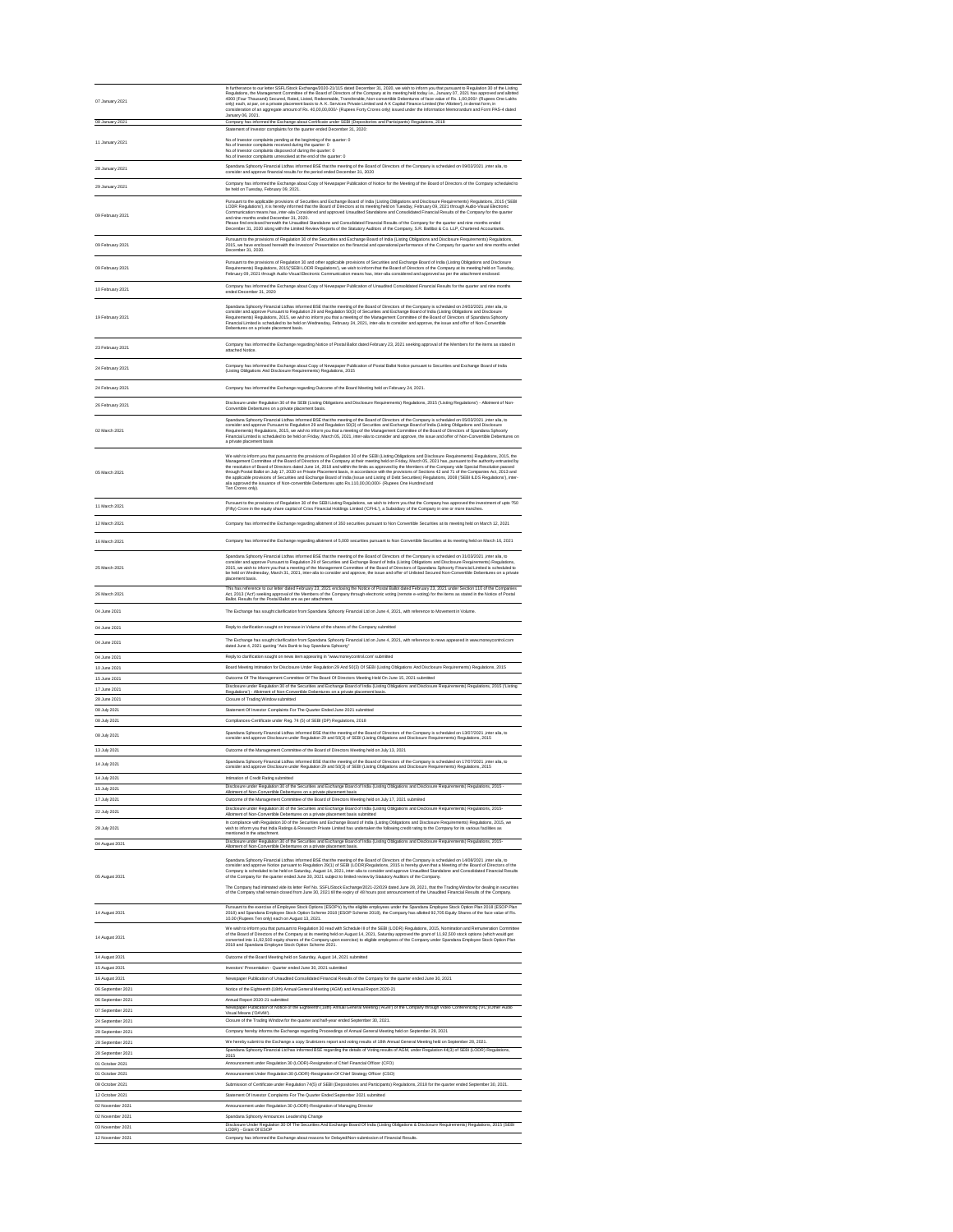| 07 January 2021                        | In furtherance to our letter SSFL/Stock Exchange/2020-21/115 dated December 31, 2020, we wish to inform you that pursuant to Regulation 30 of the Listing<br>Regulations, the Management Committee of the Board of Directors of the Company at its meeting held today i.e., January 07, 2021 has approved and allotted<br>4000 (Four Thousand) Secured, Rated, Listed, Redeemable, Transferable, Non-convertible Debentures of face value of Rs. 1,00,000/- (Rupees One Lakhs<br>only) each, at par, on a private placement basis to A. K. Services Private Limited and A K Capital Finance Limited (the 'Allottee'), in demat form, in<br>consideration of an aggregate amount of Rs. 40,00,00,000/- (Rupees Forty Crores only) issued under the Information Memorandum and Form PAS-4 dated                                                                                                                                                       |
|----------------------------------------|-----------------------------------------------------------------------------------------------------------------------------------------------------------------------------------------------------------------------------------------------------------------------------------------------------------------------------------------------------------------------------------------------------------------------------------------------------------------------------------------------------------------------------------------------------------------------------------------------------------------------------------------------------------------------------------------------------------------------------------------------------------------------------------------------------------------------------------------------------------------------------------------------------------------------------------------------------|
| 08 January 2021                        | January 06, 2021.<br>Company has informed the Exchange about Certificate under SEBI (Depositories and Participants) Regulations, 2018<br>Statement of Investor complaints for the quarter ended December 31, 2020:                                                                                                                                                                                                                                                                                                                                                                                                                                                                                                                                                                                                                                                                                                                                  |
| 11 January 2021                        | No.of Investor complaints pending at the beginning of the quarter: 0<br>No.of Investor complaints received during the quarter: 0<br>No.of Investor complaints disposed of during the quarter: 0<br>No.of Investor complaints unresolved at the end of the quarter: 0                                                                                                                                                                                                                                                                                                                                                                                                                                                                                                                                                                                                                                                                                |
| 28 January 2021                        | Spandana Sphoorty Financial Ltdhas informed BSE that the meeting of the Board of Directors of the Company is scheduled on 09/02/2021 ,inter alia, to<br>consider and approve financial results for the period ended December 31, 2020                                                                                                                                                                                                                                                                                                                                                                                                                                                                                                                                                                                                                                                                                                               |
| 29 January 2021                        | Company has informed the Exchange about Copy of Newspaper Publication of Notice for the Meeting of the Board of Directors of the Company scheduled to<br>be held on Tuesday, February 09, 2021.                                                                                                                                                                                                                                                                                                                                                                                                                                                                                                                                                                                                                                                                                                                                                     |
| 09 February 2021                       | Pursuant to the applicable provisions of Securities and Exchange Board of India (Listing Obligations and Disclosure Requirements) Regulations, 2015 ('SEBI<br>LODR Regulations'), it is hereby informed that the Board of Directors at its meeting held on Tuesday, February 09, 2021 through Audio-Visual Electronic<br>Communication means has, inter-alia Considered and approved Unaudited Standalone and Consolidated Financial Results of the Company for the quarter<br>and nine months ended December 31, 2020.<br>Please find enclosed herewith the Unaudited Standalone and Consolidated Financial Results of the Company for the quarter and nine months ended<br>December 31, 2020 along with the Limited Review Reports of the Statutory Auditors of the Company, S.R. Batliboi & Co. LLP, Chartered Accountants.                                                                                                                      |
| 09 February 2021                       | Pursuant to the provisions of Regulation 30 of the Securities and Exchange Board of India (Listing Obligations and Disclosure Requirements) Regulations,<br>2015, we have enclosed herewith the Investors' Presentation on the financial and operational performance of the Company for quarter and nine months ended<br>December 31, 2020.                                                                                                                                                                                                                                                                                                                                                                                                                                                                                                                                                                                                         |
| 09 February 2021                       | Pursuant to the provisions of Regulation 30 and other applicable provisions of Securities and Exchange Board of India (Listing Obligations and Disclosure<br>Requirements) Regulations, 2015 ('SEBI LODR Regulations'), we wish to inform that the Board of Directors of the Company at its meeting held on Tuesday,<br>February 09, 2021 through Audio-Visual Electronic Communication means has, inter-alia considered and approved as per the attachment enclosed.                                                                                                                                                                                                                                                                                                                                                                                                                                                                               |
| 10 February 2021                       | Company has informed the Exchange about Copy of Newspaper Publication of Unaudited Consolidated Financial Results for the quarter and nine months<br>ended December 31, 2020                                                                                                                                                                                                                                                                                                                                                                                                                                                                                                                                                                                                                                                                                                                                                                        |
| 19 February 2021                       | Spandana Sphoorty Financial Ltdhas informed BSE that the meeting of the Board of Directors of the Company is scheduled on 24/02/2021 ,inter alia, to<br>consider and approve Pursuant to Regulation 29 and Regulation 50(3) of Securities and Exchange Board of India (Listing Obligations and Disclosure<br>Requirements) Regulations, 2015, we wish to inform you that a meeting of the Management Committee of the Board of Directors of Spandana Sphoorty<br>Financial Limited is scheduled to be held on Wednesday, February 24, 2021, inter-alia to consider and approve, the issue and offer of Non-Convertible<br>Debentures on a private placement basis.                                                                                                                                                                                                                                                                                  |
| 23 February 2021                       | Company has informed the Exchange regarding Notice of Postal Ballot dated February 23, 2021 seeking approval of the Members for the items as stated in<br>attached Notice.                                                                                                                                                                                                                                                                                                                                                                                                                                                                                                                                                                                                                                                                                                                                                                          |
| 24 February 2021                       | Company has informed the Exchange about Copy of Newspaper Publication of Postal Ballot Notice pursuant to Securities and Exchange Board of India<br>(Listing Obligations And Disclosure Requirements) Regulations, 2015                                                                                                                                                                                                                                                                                                                                                                                                                                                                                                                                                                                                                                                                                                                             |
| 24 February 2021                       | Company has informed the Exchange regarding Outcome of the Board Meeting held on February 24, 2021.                                                                                                                                                                                                                                                                                                                                                                                                                                                                                                                                                                                                                                                                                                                                                                                                                                                 |
| 26 February 2021                       | Disclosure under Regulation 30 of the SEBI (Listing Obligations and Disclosure Requirements) Regulations, 2015 ('Listing Regulations') - Allotment of Non-<br>Convertible Debentures on a private placement basis.                                                                                                                                                                                                                                                                                                                                                                                                                                                                                                                                                                                                                                                                                                                                  |
| 02 March 2021                          | Spandana Sphoorty Financial Ltdhas informed BSE that the meeting of the Board of Directors of the Company is scheduled on 05/03/2021 ,inter alia, to<br>consider and approve Pursuant to Regulation 29 and Regulation 50(3) of Securities and Exchange Board of India (Listing Obligations and Disclosure<br>Requirements) Regulations, 2015, we wish to inform you that a meeting of the Management Committee of the Board of Directors of Spandana Sphoorty<br>Financial Limited is scheduled to be held on Friday, March 05, 2021, inter-alia to consider and approve, the issue and offer of Non-Convertible Debentures on<br>a private placement basis                                                                                                                                                                                                                                                                                         |
| 05 March 2021                          | We wish to inform you that pursuant to the provisions of Regulation 30 of the SEBI (Listing Obligations and Disclosure Requirements) Regulations, 2015, the<br>Management Committee of the Board of Directors of the Company at their meeting held on Friday, March 05, 2021 has, pursuant to the authority entrusted by<br>the resolution of Board of Directors dated June 14, 2018 and within the limits as approved by the Members of the Company vide Special Resolution passed<br>through Postal Ballot on July 17, 2020 on Private Placement basis, in accordance with the provisions of Sections 42 and 71 of the Companies Act, 2013 and<br>the applicable provisions of Securities and Exchange Board of India (Issue and Listing of Debt Securities) Regulations, 2008 ('SEBI ILDS Regulations'), inter-<br>alia approved the issuance of Non-convertible Debentures upto Rs.110,00,00,000/- (Rupees One Hundred and<br>Ten Crores only). |
| 11 March 2021                          | Pursuant to the provisions of Regulation 30 of the SEBI Listing Regulations, we wish to inform you that the Company has approved the investment of upto ?50<br>(Fifty) Crore in the equity share capital of Criss Financial Holdings Limited ('CFHL'), a Subsidiary of the Company in one or more tranches.                                                                                                                                                                                                                                                                                                                                                                                                                                                                                                                                                                                                                                         |
| 12 March 2021                          | Company has informed the Exchange regarding allotment of 350 securities pursuant to Non Convertible Securities at its meeting held on March 12, 2021                                                                                                                                                                                                                                                                                                                                                                                                                                                                                                                                                                                                                                                                                                                                                                                                |
| 16 March 2021                          | Company has informed the Exchange regarding allotment of 5,000 securities pursuant to Non Convertible Securities at its meeting held on March 16, 2021                                                                                                                                                                                                                                                                                                                                                                                                                                                                                                                                                                                                                                                                                                                                                                                              |
| 25 March 2021                          | Spandana Sphoorty Financial Ltdhas informed BSE that the meeting of the Board of Directors of the Company is scheduled on 31/03/2021 ,inter alia, to<br>consider and approve Pursuant to Regulation 29 of Securities and Exchange Board of India (Listing Obligations and Disclosure Requirements) Regulations,<br>2015, we wish to inform you that a meeting of the Management Committee of the Board of Directors of Spandana Sphoorty Financial Limited is scheduled to<br>be held on Wednesday, March 31, 2021, inter-alia to consider and approve, the issue and offer of Unlisted Secured Non-Convertible Debentures on a private<br>placement basis.                                                                                                                                                                                                                                                                                         |
| 26 March 2021                          | This has reference to our letter dated February 23, 2021 enclosing the Notice of Postal Ballot dated February 23, 2021 under Section 110 of the Companies<br>Act, 2013 ('Act') seeking approval of the Members of the Company through electronic voting (remote e-voting) for the items as stated in the Notice of Postal<br>Ballot. Results for the Postal Ballot are as per attachment.                                                                                                                                                                                                                                                                                                                                                                                                                                                                                                                                                           |
| 04 June 2021                           | The Exchange has sought clarification from Spandana Sphoorty Financial Ltd on June 4, 2021, with reference to Movement in Volume.                                                                                                                                                                                                                                                                                                                                                                                                                                                                                                                                                                                                                                                                                                                                                                                                                   |
| 04 June 2021                           | Reply to clarification sought on Increase in Volume of the shares of the Company submitted                                                                                                                                                                                                                                                                                                                                                                                                                                                                                                                                                                                                                                                                                                                                                                                                                                                          |
| 04 June 2021                           | The Exchange has sought clarification from Spandana Sphoorty Financial Ltd on June 4, 2021, with reference to news appeared in www.moneycontrol.com<br>dated June 4, 2021 quoting "Axis Bank to buy Spandana Sphoorty"                                                                                                                                                                                                                                                                                                                                                                                                                                                                                                                                                                                                                                                                                                                              |
| 04 June 2021<br>10 June 2021           | Reply to clarification sought on news item appearing in "www.moneycontrol.com' submitted<br>Board Meeting Intimation for Disclosure Under Regulation 29 And 50(3) Of SEBI (Listing Obligations And Disclosure Requirements) Regulations, 2015                                                                                                                                                                                                                                                                                                                                                                                                                                                                                                                                                                                                                                                                                                       |
| 15 June 2021                           | Outcome Of The Management Committee Of The Board Of Directors Meeting Held On June 15, 2021 submitted                                                                                                                                                                                                                                                                                                                                                                                                                                                                                                                                                                                                                                                                                                                                                                                                                                               |
| 17 June 2021                           | Disclosure under Regulation 30 of the Securities and Exchange Board of India (Listing Obligations and Disclosure Requirements) Regulations, 2015 ('Listing<br>Regulations') - Allotment of Non-Convertible Debentures on a private placement basis.                                                                                                                                                                                                                                                                                                                                                                                                                                                                                                                                                                                                                                                                                                 |
| 28 June 2021<br>08 July 2021           | Closure of Trading Window submitted<br>Statement Of Investor Complaints For The Quarter Ended June 2021 submitted                                                                                                                                                                                                                                                                                                                                                                                                                                                                                                                                                                                                                                                                                                                                                                                                                                   |
| 08 July 2021                           | Compliances-Certificate under Reg. 74 (5) of SEBI (DP) Regulations, 2018                                                                                                                                                                                                                                                                                                                                                                                                                                                                                                                                                                                                                                                                                                                                                                                                                                                                            |
| 08 July 2021                           | Spandana Sphoorty Financial Ltdhas informed BSE that the meeting of the Board of Directors of the Company is scheduled on 13/07/2021 , inter alia, to<br>consider and approve Disclosure under Regulation 29 and 50(3) of SEBI (Listing Obligations and Disclosure Requirements) Regulations, 2015                                                                                                                                                                                                                                                                                                                                                                                                                                                                                                                                                                                                                                                  |
| 13 July 2021<br>14 July 2021           | Outcome of the Management Committee of the Board of Directors Meeting held on July 13, 2021<br>Spandana Sphoorty Financial Ltdhas informed BSE that the meeting of the Board of Directors of the Company is scheduled on 17/07/2021 ,inter alia, to<br>consider and approve Disclosure under Regulation 29 and 50(3) of SEBI (Listing Obligations and Disclosure Requirements) Regulations, 2015                                                                                                                                                                                                                                                                                                                                                                                                                                                                                                                                                    |
| 14 July 2021<br>15 July 2021           | Intimation of Credit Rating submitted<br>Disclosure under Regulation 30 of the Securities and Exchange Board of India (Listing Obligations and Disclosure Requirements) Regulations, 2015 -                                                                                                                                                                                                                                                                                                                                                                                                                                                                                                                                                                                                                                                                                                                                                         |
| 17 July 2021                           | Allotment of Non-Convertible Debentures on a private placement basis<br>Outcome of the Management Committee of the Board of Directors Meeting held on July 17, 2021 submiited                                                                                                                                                                                                                                                                                                                                                                                                                                                                                                                                                                                                                                                                                                                                                                       |
| 22 July 2021                           | Disclosure under Regulation 30 of the Securities and Exchange Board of India (Listing Obligations and Disclosure Requirements) Regulations, 2015-<br>Allotment of Non-Convertible Debentures on a private placement basis submitted                                                                                                                                                                                                                                                                                                                                                                                                                                                                                                                                                                                                                                                                                                                 |
| 28 July 2021<br>04 August 2021         | In compliance with Regulation 30 of the Securities and Exchange Board of India (Listing Obligations and Disclosure Requirements) Regulations, 2015, we<br>wish to inform you that India Ratings & Research Private Limited has undertaken the following credit rating to the Company for its various facilities as<br>mentioned in the attachment.<br>Disclosure under Regulation 30 of the Securities and Exchange Board of India (Listing Obligations and Disclosure Requirements) Regulations, 2015-<br>Allotment of Non-Convertible Debentures on a private placement basis.                                                                                                                                                                                                                                                                                                                                                                    |
| 05 August 2021                         | Spandana Sphoorty Financial Ltdhas informed BSE that the meeting of the Board of Directors of the Company is scheduled on 14/08/2021 ,inter alia, to<br>consider and approve Notice pursuant to Regulation 29(1) of SEBI (LODR)Regulations, 2015 is hereby given that a Meeting of the Board of Directors of the<br>Company is scheduled to be held on Saturday, August 14, 2021, inter-alia to consider and approve Unaudited Standalone and Consolidated Financial Results<br>of the Company for the quarter ended June 30, 2021 subject to limited review by Statutory Auditors of the Company.<br>The Company had intimated vide its letter Ref No. SSFL/Stock Exchange/2021-22/029 dated June 28, 2021, that the Trading Window for dealing in securities<br>of the Company shall remain closed from June 30, 2021 till the expiry of 48 hours post announcement of the Unaudited Financial Results of the Company.                            |
| 14 August 2021                         | Pursuant to the exercise of Employee Stock Options (ESOP's) by the eligible employees under the Spandana Employee Stock Option Plan 2018 (ESOP Plan<br>2018) and Spandana Employee Stock Option Scheme 2018 (ESOP Scheme 2018), the Company has allotted 92,705 Equity Shares of the face value of Rs.<br>10.00 (Rupees Ten only) each on August 13, 2021.                                                                                                                                                                                                                                                                                                                                                                                                                                                                                                                                                                                          |
| 14 August 2021                         | We wish to inform you that pursuant to Regulation 30 read with Schedule III of the SEBI (LODR) Regulations, 2015, Nomination and Remuneration Committee<br>of the Board of Directors of the Company at its meeting held on August 14, 2021, Saturday approved the grant of 11,92,500 stock options (which would get<br>converted into 11,92,500 equity shares of the Company upon exercise) to eligible employees of the Company under Spandana Employee Stock Option Plan<br>2018 and Spandana Employee Stock Option Scheme 2021.                                                                                                                                                                                                                                                                                                                                                                                                                  |
| 14 August 2021<br>15 August 2021       | Outcome of the Board Meeting held on Saturday, August 14, 2021 submitted<br>Investors' Presentation - Quarter ended June 30, 2021 submitted                                                                                                                                                                                                                                                                                                                                                                                                                                                                                                                                                                                                                                                                                                                                                                                                         |
| 16 August 2021                         | Newspaper Publication of Unaudited Consolidated Financial Results of the Company for the quarter ended June 30, 2021                                                                                                                                                                                                                                                                                                                                                                                                                                                                                                                                                                                                                                                                                                                                                                                                                                |
| 06 September 2021                      | Notice of the Eighteenth (18th) Annual General Meeting (AGM) and Annual Report 2020-21                                                                                                                                                                                                                                                                                                                                                                                                                                                                                                                                                                                                                                                                                                                                                                                                                                                              |
| 06 September 2021<br>07 September 2021 | Annual Report 2020-21 submitted<br>Newspaper Publication of Notice of the Eighteenth (18th) Annual General Meeting ('AGM') of the Company through Video Conferencing ('VC')/Other Audio<br>Visual Means ('OAVM').                                                                                                                                                                                                                                                                                                                                                                                                                                                                                                                                                                                                                                                                                                                                   |
| 24 September 2021<br>28 September 2021 | Closure of the Trading Window for the quarter and half-year ended September 30, 2021.<br>Company hereby informs the Exchange regarding Proceedings of Annual General Meeting held on September 28, 2021                                                                                                                                                                                                                                                                                                                                                                                                                                                                                                                                                                                                                                                                                                                                             |
| 28 September 2021                      | We hereby submit to the Exchange a copy Srutinizers report and voting results of 18th Annual General Meeting held on September 28, 2021.                                                                                                                                                                                                                                                                                                                                                                                                                                                                                                                                                                                                                                                                                                                                                                                                            |
| 28 September 2021                      | Spandana Sphoorty Financial Ltd has informed BSE regarding the details of Voting results of AGM, under Regulation 44(3) of SEBI (LODR) Regulations,<br>2015                                                                                                                                                                                                                                                                                                                                                                                                                                                                                                                                                                                                                                                                                                                                                                                         |
| 01 October 2021<br>01 October 2021     | Announcement under Regulation 30 (LODR)-Resignation of Chief Financial Officer (CFO)<br>Announcement Under Regulation 30 (LODR)-Resignation Of Chief Strategy Officer (CSO)                                                                                                                                                                                                                                                                                                                                                                                                                                                                                                                                                                                                                                                                                                                                                                         |
| 08 October 2021                        | Submission of Certificate under Regulation 74(5) of SEBI (Depositories and Participants) Regulations, 2018 for the quarter ended September 30, 2021.                                                                                                                                                                                                                                                                                                                                                                                                                                                                                                                                                                                                                                                                                                                                                                                                |
| 12 October 2021                        | Statement Of Investor Complaints For The Quarter Ended September 2021 submitted                                                                                                                                                                                                                                                                                                                                                                                                                                                                                                                                                                                                                                                                                                                                                                                                                                                                     |
| 02 November 2021<br>02 November 2021   | Announcement under Regulation 30 (LODR)-Resignation of Managing Director<br>Spandana Sphoorty Announces Leadership Change                                                                                                                                                                                                                                                                                                                                                                                                                                                                                                                                                                                                                                                                                                                                                                                                                           |
| 03 November 2021                       | Disclosure Under Regulation 30 Of The Securities And Exchange Board Of India (Listing Obligations & Disclosure Requirements) Regulations, 2015 (SEBI<br>LODR) - Grant Of ESOP                                                                                                                                                                                                                                                                                                                                                                                                                                                                                                                                                                                                                                                                                                                                                                       |
| 12 November 2021                       | Company has informed the Exchange about reasons for Delayed/Non-submission of Financial Results.                                                                                                                                                                                                                                                                                                                                                                                                                                                                                                                                                                                                                                                                                                                                                                                                                                                    |